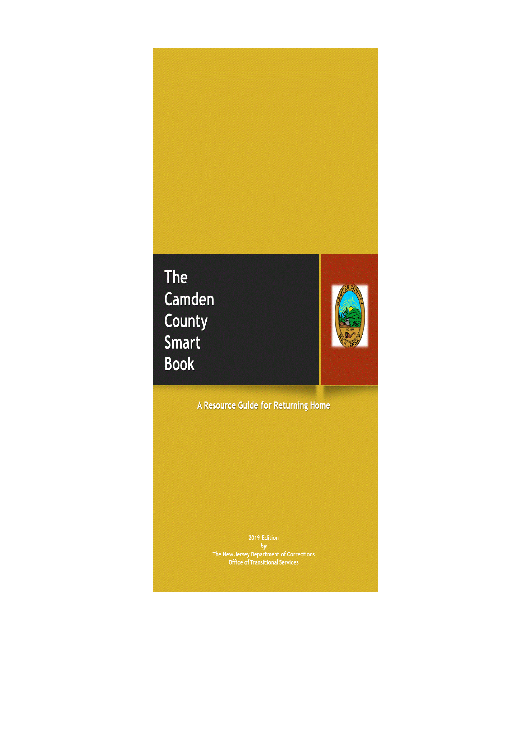# The Camden County Smart **Book**



A Resource Guide for Returning Home

 $\begin{tabular}{c} 2019 Edition \\ by \\ The New Jersey Department of Corrections \\ Office of Translational Services \\ \end{tabular}$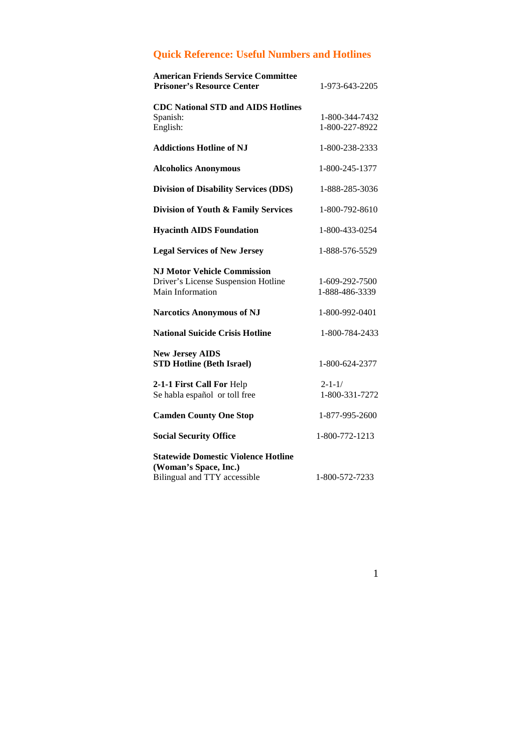## **Quick Reference: Useful Numbers and Hotlines**

| <b>American Friends Service Committee</b><br><b>Prisoner's Resource Center</b>                      | 1-973-643-2205                   |
|-----------------------------------------------------------------------------------------------------|----------------------------------|
| <b>CDC National STD and AIDS Hotlines</b><br>Spanish:<br>English:                                   | 1-800-344-7432<br>1-800-227-8922 |
| <b>Addictions Hotline of NJ</b>                                                                     | 1-800-238-2333                   |
| <b>Alcoholics Anonymous</b>                                                                         | 1-800-245-1377                   |
| <b>Division of Disability Services (DDS)</b>                                                        | 1-888-285-3036                   |
| Division of Youth & Family Services                                                                 | 1-800-792-8610                   |
| <b>Hyacinth AIDS Foundation</b>                                                                     | 1-800-433-0254                   |
| <b>Legal Services of New Jersey</b>                                                                 | 1-888-576-5529                   |
| <b>NJ Motor Vehicle Commission</b><br>Driver's License Suspension Hotline<br>Main Information       | 1-609-292-7500<br>1-888-486-3339 |
| <b>Narcotics Anonymous of NJ</b>                                                                    | 1-800-992-0401                   |
| <b>National Suicide Crisis Hotline</b>                                                              | 1-800-784-2433                   |
| <b>New Jersey AIDS</b><br><b>STD Hotline (Beth Israel)</b>                                          | 1-800-624-2377                   |
| 2-1-1 First Call For Help<br>Se habla español or toll free                                          | $2 - 1 - 1/$<br>1-800-331-7272   |
| <b>Camden County One Stop</b>                                                                       | 1-877-995-2600                   |
| <b>Social Security Office</b>                                                                       | 1-800-772-1213                   |
| <b>Statewide Domestic Violence Hotline</b><br>(Woman's Space, Inc.)<br>Bilingual and TTY accessible | 1-800-572-7233                   |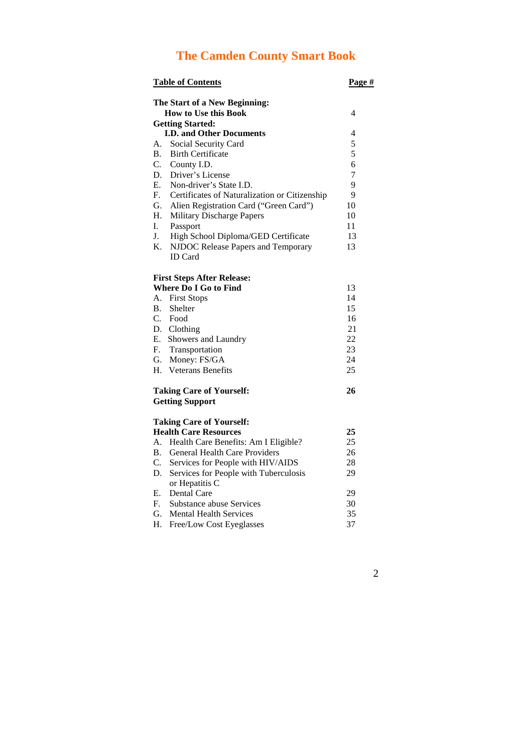# **The Camden County Smart Book**

| <b>Table of Contents</b> |                                               | Page #         |  |
|--------------------------|-----------------------------------------------|----------------|--|
|                          | The Start of a New Beginning:                 |                |  |
|                          | <b>How to Use this Book</b>                   | 4              |  |
|                          | <b>Getting Started:</b>                       |                |  |
|                          | <b>I.D. and Other Documents</b>               | 4              |  |
| А.                       | Social Security Card                          | 5              |  |
| $B_{\cdot}$              | <b>Birth Certificate</b>                      | 5              |  |
| C.                       | County I.D.                                   | 6              |  |
| D.                       | Driver's License                              | $\overline{7}$ |  |
| Е.                       | Non-driver's State I.D.                       | 9              |  |
| F.                       | Certificates of Naturalization or Citizenship | 9              |  |
| G.                       | Alien Registration Card ("Green Card")        | 10             |  |
| Н.                       | Military Discharge Papers                     | 10             |  |
| L.                       | Passport                                      | 11             |  |
| J.                       | High School Diploma/GED Certificate           | 13             |  |
| K.                       | NJDOC Release Papers and Temporary            | 13             |  |
|                          | <b>ID</b> Card                                |                |  |
|                          | <b>First Steps After Release:</b>             |                |  |
|                          | <b>Where Do I Go to Find</b>                  | 13             |  |
| А.                       | <b>First Stops</b>                            | 14             |  |
| В.                       | Shelter                                       | 15             |  |
|                          | C. Food                                       | 16             |  |
| D.                       | Clothing                                      | 21             |  |
| E.                       | Showers and Laundry                           | 22             |  |
|                          | F. Transportation                             | 23             |  |
| G.                       | Money: FS/GA                                  | 24             |  |
| Н.                       | <b>Veterans Benefits</b>                      | 25             |  |
|                          | <b>Taking Care of Yourself:</b>               | 26             |  |
|                          | <b>Getting Support</b>                        |                |  |
|                          | <b>Taking Care of Yourself:</b>               |                |  |
|                          | <b>Health Care Resources</b>                  | 25             |  |
| А.                       | Health Care Benefits: Am I Eligible?          | 25             |  |
| <b>B.</b>                | <b>General Health Care Providers</b>          | 26             |  |
| C.                       | Services for People with HIV/AIDS             | 28             |  |
| D.                       | Services for People with Tuberculosis         | 29             |  |
|                          | or Hepatitis C                                |                |  |
| Е.                       | Dental Care                                   | 29             |  |
| F.                       | Substance abuse Services                      | 30             |  |
| G.                       | <b>Mental Health Services</b>                 | 35             |  |
| Н.                       | Free/Low Cost Eyeglasses                      | 37             |  |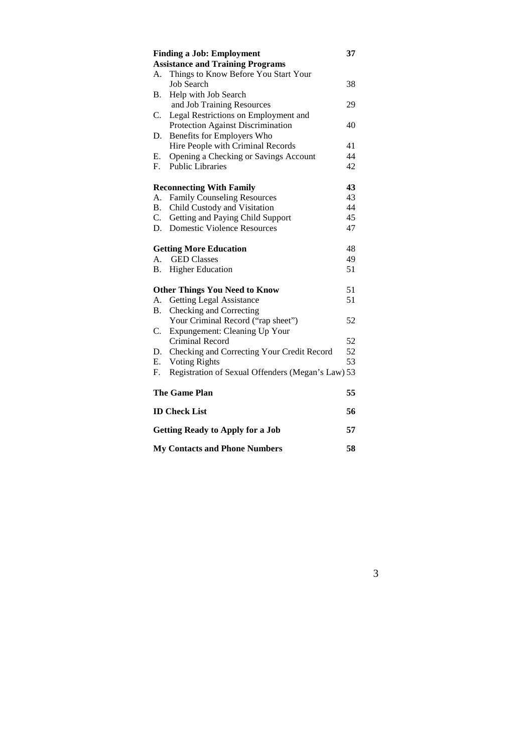|                | <b>Finding a Job: Employment</b>                  | 37 |
|----------------|---------------------------------------------------|----|
|                | <b>Assistance and Training Programs</b>           |    |
| А.             | Things to Know Before You Start Your              |    |
|                | <b>Job Search</b>                                 | 38 |
| <b>B.</b>      | Help with Job Search                              |    |
|                | and Job Training Resources                        | 29 |
| C.             | Legal Restrictions on Employment and              |    |
|                | Protection Against Discrimination                 | 40 |
| D.             | Benefits for Employers Who                        |    |
|                | Hire People with Criminal Records                 | 41 |
| Е.             | Opening a Checking or Savings Account             | 44 |
| F.             | <b>Public Libraries</b>                           | 42 |
|                | <b>Reconnecting With Family</b>                   | 43 |
| A.             | <b>Family Counseling Resources</b>                | 43 |
| B <sub>r</sub> | Child Custody and Visitation                      | 44 |
| $C_{\cdot}$    | Getting and Paying Child Support                  | 45 |
| D.             | <b>Domestic Violence Resources</b>                | 47 |
|                | <b>Getting More Education</b>                     | 48 |
| A.             | <b>GED Classes</b>                                | 49 |
| <b>B.</b>      | <b>Higher Education</b>                           | 51 |
|                | <b>Other Things You Need to Know</b>              | 51 |
| A.             | <b>Getting Legal Assistance</b>                   | 51 |
| Β.             | Checking and Correcting                           |    |
|                | Your Criminal Record ("rap sheet")                | 52 |
| $C_{\cdot}$    | Expungement: Cleaning Up Your                     |    |
|                | Criminal Record                                   | 52 |
| D.             | Checking and Correcting Your Credit Record        | 52 |
| Ε.             | <b>Voting Rights</b>                              | 53 |
| F.             | Registration of Sexual Offenders (Megan's Law) 53 |    |
|                | <b>The Game Plan</b>                              | 55 |
|                | <b>ID Check List</b>                              | 56 |
|                | <b>Getting Ready to Apply for a Job</b>           | 57 |
|                | <b>My Contacts and Phone Numbers</b>              | 58 |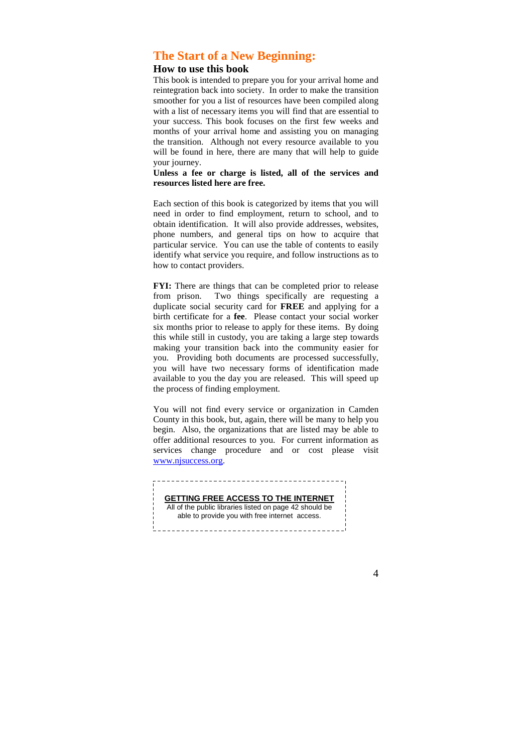## **The Start of a New Beginning:**

## **How to use this book**

This book is intended to prepare you for your arrival home and reintegration back into society. In order to make the transition smoother for you a list of resources have been compiled along with a list of necessary items you will find that are essential to your success. This book focuses on the first few weeks and months of your arrival home and assisting you on managing the transition. Although not every resource available to you will be found in here, there are many that will help to guide your journey.

#### **Unless a fee or charge is listed, all of the services and resources listed here are free.**

Each section of this book is categorized by items that you will need in order to find employment, return to school, and to obtain identification. It will also provide addresses, websites, phone numbers, and general tips on how to acquire that particular service. You can use the table of contents to easily identify what service you require, and follow instructions as to how to contact providers.

**FYI:** There are things that can be completed prior to release from prison. Two things specifically are requesting a duplicate social security card for **FREE** and applying for a birth certificate for a **fee**. Please contact your social worker six months prior to release to apply for these items. By doing this while still in custody, you are taking a large step towards making your transition back into the community easier for you. Providing both documents are processed successfully, you will have two necessary forms of identification made available to you the day you are released. This will speed up the process of finding employment.

You will not find every service or organization in Camden County in this book, but, again, there will be many to help you begin. Also, the organizations that are listed may be able to offer additional resources to you. For current information as services change procedure and or cost please visit www.njsuccess.org.

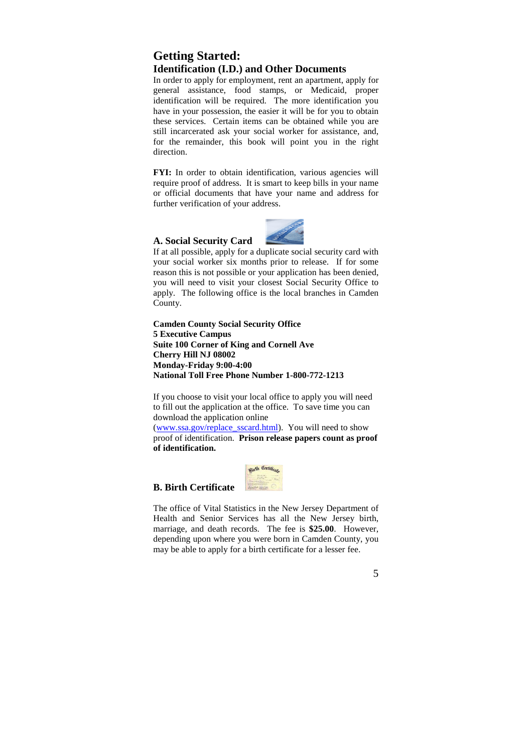## **Getting Started: Identification (I.D.) and Other Documents**

In order to apply for employment, rent an apartment, apply for general assistance, food stamps, or Medicaid, proper identification will be required. The more identification you have in your possession, the easier it will be for you to obtain these services. Certain items can be obtained while you are still incarcerated ask your social worker for assistance, and, for the remainder, this book will point you in the right direction.

**FYI:** In order to obtain identification, various agencies will require proof of address. It is smart to keep bills in your name or official documents that have your name and address for further verification of your address.

#### **A. Social Security Card**

If at all possible, apply for a duplicate social security card with your social worker six months prior to release. If for some reason this is not possible or your application has been denied, you will need to visit your closest Social Security Office to apply. The following office is the local branches in Camden County.

**Camden County Social Security Office 5 Executive Campus Suite 100 Corner of King and Cornell Ave Cherry Hill NJ 08002 Monday-Friday 9:00-4:00 National Toll Free Phone Number 1-800-772-1213** 

If you choose to visit your local office to apply you will need to fill out the application at the office. To save time you can download the application online

(www.ssa.gov/replace\_sscard.html). You will need to show proof of identification. **Prison release papers count as proof of identification.** 



## **B. Birth Certificate**

The office of Vital Statistics in the New Jersey Department of Health and Senior Services has all the New Jersey birth, marriage, and death records. The fee is **\$25.00**. However, depending upon where you were born in Camden County, you may be able to apply for a birth certificate for a lesser fee.

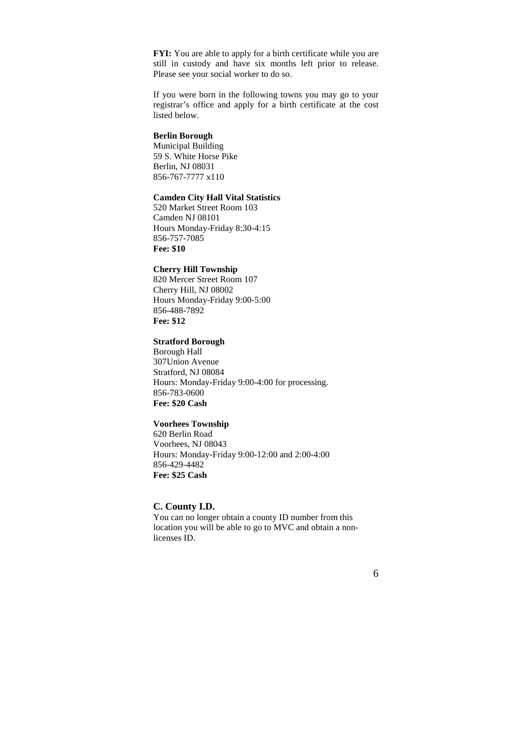**FYI:** You are able to apply for a birth certificate while you are still in custody and have six months left prior to release. Please see your social worker to do so.

If you were born in the following towns you may go to your registrar's office and apply for a birth certificate at the cost listed below.

#### **Berlin Borough**

Municipal Building 59 S. White Horse Pike Berlin, NJ 08031 856-767-7777 x110

#### **Camden City Hall Vital Statistics**

520 Market Street Room 103 Camden NJ 08101 Hours Monday-Friday 8:30-4:15 856-757-7085 **Fee: \$10** 

### **Cherry Hill Township**

820 Mercer Street Room 107 Cherry Hill, NJ 08002 Hours Monday-Friday 9:00-5:00 856-488-7892 **Fee: \$12** 

## **Stratford Borough**

Borough Hall 307Union Avenue Stratford, NJ 08084 Hours: Monday-Friday 9:00-4:00 for processing. 856-783-0600 **Fee: \$20 Cash** 

#### **Voorhees Township**

620 Berlin Road Voorhees, NJ 08043 Hours: Monday-Friday 9:00-12:00 and 2:00-4:00 856-429-4482 **Fee: \$25 Cash** 

#### **C. County I.D.**

You can no longer obtain a county ID number from this location you will be able to go to MVC and obtain a nonlicenses ID.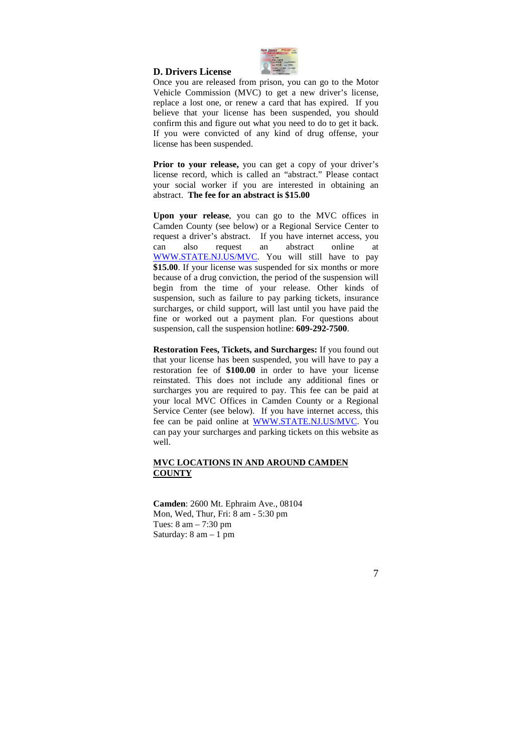

#### **D. Drivers License**

Once you are released from prison, you can go to the Motor Vehicle Commission (MVC) to get a new driver's license, replace a lost one, or renew a card that has expired. If you believe that your license has been suspended, you should confirm this and figure out what you need to do to get it back. If you were convicted of any kind of drug offense, your license has been suspended.

Prior to your release, you can get a copy of your driver's license record, which is called an "abstract." Please contact your social worker if you are interested in obtaining an abstract. **The fee for an abstract is \$15.00** 

**Upon your release**, you can go to the MVC offices in Camden County (see below) or a Regional Service Center to request a driver's abstract. If you have internet access, you can also request an abstract online at WWW.STATE.NJ.US/MVC. You will still have to pay **\$15.00**. If your license was suspended for six months or more because of a drug conviction, the period of the suspension will begin from the time of your release. Other kinds of suspension, such as failure to pay parking tickets, insurance surcharges, or child support, will last until you have paid the fine or worked out a payment plan. For questions about suspension, call the suspension hotline: **609-292-7500**.

**Restoration Fees, Tickets, and Surcharges:** If you found out that your license has been suspended, you will have to pay a restoration fee of **\$100.00** in order to have your license reinstated. This does not include any additional fines or surcharges you are required to pay. This fee can be paid at your local MVC Offices in Camden County or a Regional Service Center (see below). If you have internet access, this fee can be paid online at WWW.STATE.NJ.US/MVC. You can pay your surcharges and parking tickets on this website as well.

#### **MVC LOCATIONS IN AND AROUND CAMDEN COUNTY**

**Camden**: 2600 Mt. Ephraim Ave., 08104 Mon, Wed, Thur, Fri: 8 am - 5:30 pm Tues: 8 am – 7:30 pm Saturday: 8 am – 1 pm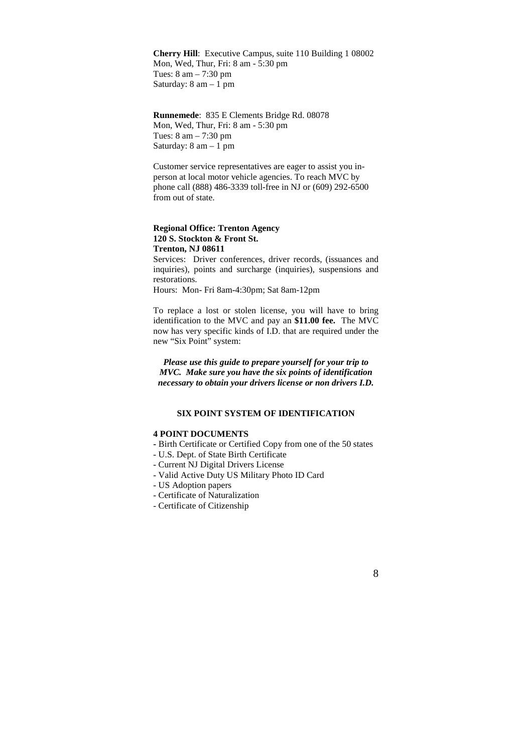**Cherry Hill**: Executive Campus, suite 110 Building 1 08002 Mon, Wed, Thur, Fri: 8 am - 5:30 pm Tues: 8 am – 7:30 pm Saturday:  $8 \text{ am} - 1 \text{ pm}$ 

**Runnemede**: 835 E Clements Bridge Rd. 08078 Mon, Wed, Thur, Fri: 8 am - 5:30 pm Tues: 8 am – 7:30 pm Saturday:  $8 \text{ am} - 1 \text{ pm}$ 

Customer service representatives are eager to assist you inperson at local motor vehicle agencies. To reach MVC by phone call (888) 486-3339 toll-free in NJ or (609) 292-6500 from out of state.

#### **Regional Office: Trenton Agency 120 S. Stockton & Front St. Trenton, NJ 08611**

Services: Driver conferences, driver records, (issuances and inquiries), points and surcharge (inquiries), suspensions and restorations.

Hours: Mon- Fri 8am-4:30pm; Sat 8am-12pm

To replace a lost or stolen license, you will have to bring identification to the MVC and pay an **\$11.00 fee.** The MVC now has very specific kinds of I.D. that are required under the new "Six Point" system:

*Please use this guide to prepare yourself for your trip to MVC. Make sure you have the six points of identification necessary to obtain your drivers license or non drivers I.D.* 

## **SIX POINT SYSTEM OF IDENTIFICATION**

#### **4 POINT DOCUMENTS**

- Birth Certificate or Certified Copy from one of the 50 states
- U.S. Dept. of State Birth Certificate
- Current NJ Digital Drivers License
- Valid Active Duty US Military Photo ID Card
- US Adoption papers
- Certificate of Naturalization
- Certificate of Citizenship

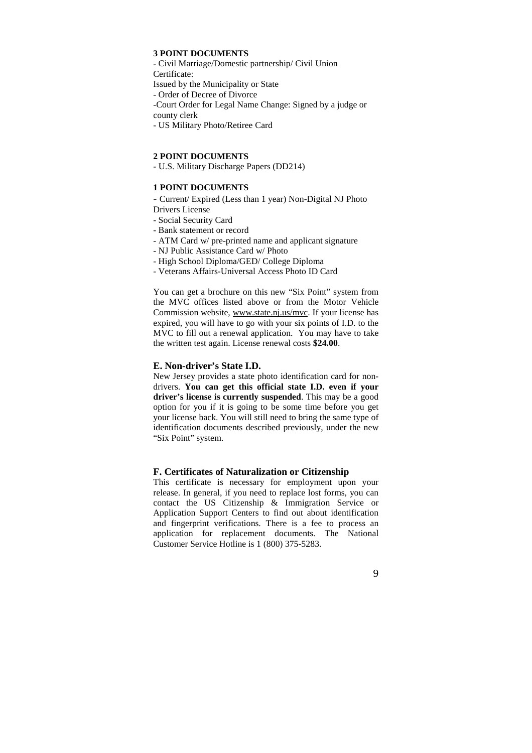## **3 POINT DOCUMENTS**

- Civil Marriage/Domestic partnership/ Civil Union Certificate: Issued by the Municipality or State - Order of Decree of Divorce -Court Order for Legal Name Change: Signed by a judge or county clerk - US Military Photo/Retiree Card

#### **2 POINT DOCUMENTS**

**-** U.S. Military Discharge Papers (DD214)

#### **1 POINT DOCUMENTS**

- Current/ Expired (Less than 1 year) Non-Digital NJ Photo Drivers License

- Social Security Card
- Bank statement or record
- ATM Card w/ pre-printed name and applicant signature
- NJ Public Assistance Card w/ Photo
- High School Diploma/GED/ College Diploma
- Veterans Affairs-Universal Access Photo ID Card

You can get a brochure on this new "Six Point" system from the MVC offices listed above or from the Motor Vehicle Commission website, www.state.nj.us/mvc. If your license has expired, you will have to go with your six points of I.D. to the MVC to fill out a renewal application. You may have to take the written test again. License renewal costs **\$24.00**.

#### **E. Non-driver's State I.D.**

New Jersey provides a state photo identification card for nondrivers. **You can get this official state I.D. even if your driver's license is currently suspended**. This may be a good option for you if it is going to be some time before you get your license back. You will still need to bring the same type of identification documents described previously, under the new "Six Point" system.

#### **F. Certificates of Naturalization or Citizenship**

This certificate is necessary for employment upon your release. In general, if you need to replace lost forms, you can contact the US Citizenship & Immigration Service or Application Support Centers to find out about identification and fingerprint verifications. There is a fee to process an application for replacement documents. The National Customer Service Hotline is 1 (800) 375-5283.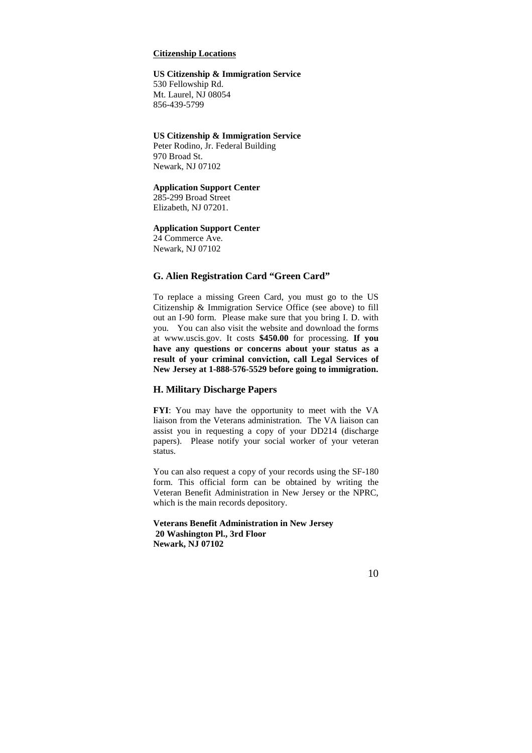### **Citizenship Locations**

#### **US Citizenship & Immigration Service**

530 Fellowship Rd. Mt. Laurel, NJ 08054 856-439-5799

#### **US Citizenship & Immigration Service**

Peter Rodino, Jr. Federal Building 970 Broad St. Newark, NJ 07102

#### **Application Support Center**

285-299 Broad Street Elizabeth, NJ 07201.

#### **Application Support Center**

24 Commerce Ave. Newark, NJ 07102

#### **G. Alien Registration Card "Green Card"**

To replace a missing Green Card, you must go to the US Citizenship & Immigration Service Office (see above) to fill out an I-90 form. Please make sure that you bring I. D. with you. You can also visit the website and download the forms at www.uscis.gov. It costs **\$450.00** for processing. **If you have any questions or concerns about your status as a result of your criminal conviction, call Legal Services of New Jersey at 1-888-576-5529 before going to immigration.**

#### **H. Military Discharge Papers**

**FYI**: You may have the opportunity to meet with the VA liaison from the Veterans administration. The VA liaison can assist you in requesting a copy of your DD214 (discharge papers). Please notify your social worker of your veteran status.

You can also request a copy of your records using the SF-180 form. This official form can be obtained by writing the Veteran Benefit Administration in New Jersey or the NPRC, which is the main records depository.

**Veterans Benefit Administration in New Jersey 20 Washington Pl., 3rd Floor Newark, NJ 07102**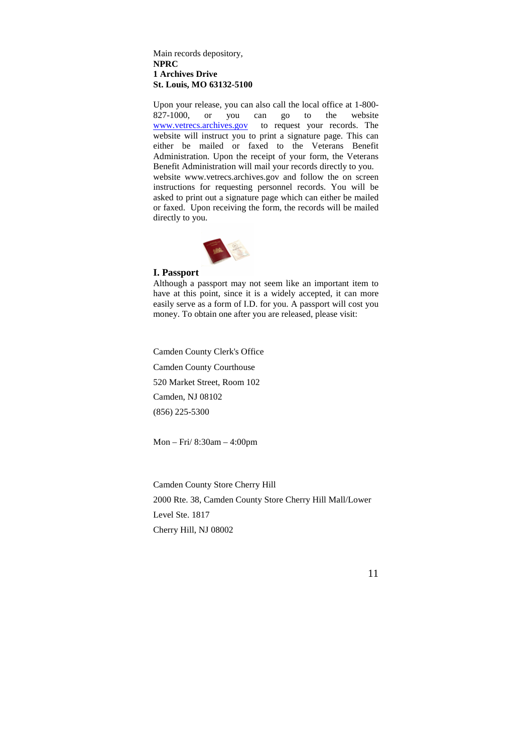Main records depository, **NPRC 1 Archives Drive St. Louis, MO 63132-5100**

Upon your release, you can also call the local office at 1-800- 827-1000, or you can go to the website www.vetrecs.archives.gov to request your records. The website will instruct you to print a signature page. This can either be mailed or faxed to the Veterans Benefit Administration. Upon the receipt of your form, the Veterans Benefit Administration will mail your records directly to you. website www.vetrecs.archives.gov and follow the on screen instructions for requesting personnel records. You will be asked to print out a signature page which can either be mailed or faxed. Upon receiving the form, the records will be mailed directly to you.



#### **I. Passport**

Although a passport may not seem like an important item to have at this point, since it is a widely accepted, it can more easily serve as a form of I.D. for you. A passport will cost you money. To obtain one after you are released, please visit:

Camden County Clerk's Office Camden County Courthouse 520 Market Street, Room 102 Camden, NJ 08102 (856) 225-5300

Mon – Fri/ 8:30am – 4:00pm

Camden County Store Cherry Hill 2000 Rte. 38, Camden County Store Cherry Hill Mall/Lower Level Ste. 1817 Cherry Hill, NJ 08002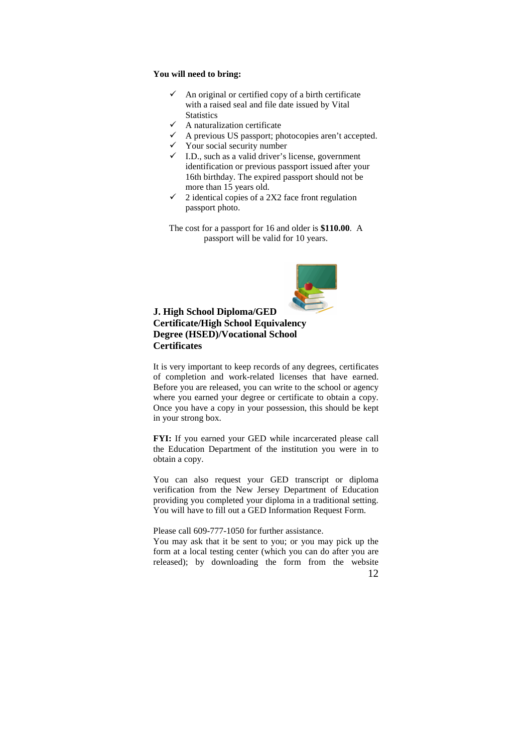## **You will need to bring:**

- $\checkmark$  An original or certified copy of a birth certificate with a raised seal and file date issued by Vital Statistics<br>  $\checkmark$  A naturalization certificate
- $\checkmark$  A naturalization certificate
- $\checkmark$  A previous US passport; photocopies aren't accepted.
- $\checkmark$  Your social security number
- $I$ .D., such as a valid driver's license, government identification or previous passport issued after your 16th birthday. The expired passport should not be more than 15 years old.
- $\checkmark$  2 identical copies of a 2X2 face front regulation passport photo.

The cost for a passport for 16 and older is **\$110.00**. A passport will be valid for 10 years.



## **J. High School Diploma/GED Certificate/High School Equivalency Degree (HSED)/Vocational School Certificates**

It is very important to keep records of any degrees, certificates of completion and work-related licenses that have earned. Before you are released, you can write to the school or agency where you earned your degree or certificate to obtain a copy. Once you have a copy in your possession, this should be kept in your strong box.

**FYI:** If you earned your GED while incarcerated please call the Education Department of the institution you were in to obtain a copy.

You can also request your GED transcript or diploma verification from the New Jersey Department of Education providing you completed your diploma in a traditional setting. You will have to fill out a GED Information Request Form.

Please call 609-777-1050 for further assistance.

12 You may ask that it be sent to you; or you may pick up the form at a local testing center (which you can do after you are released); by downloading the form from the website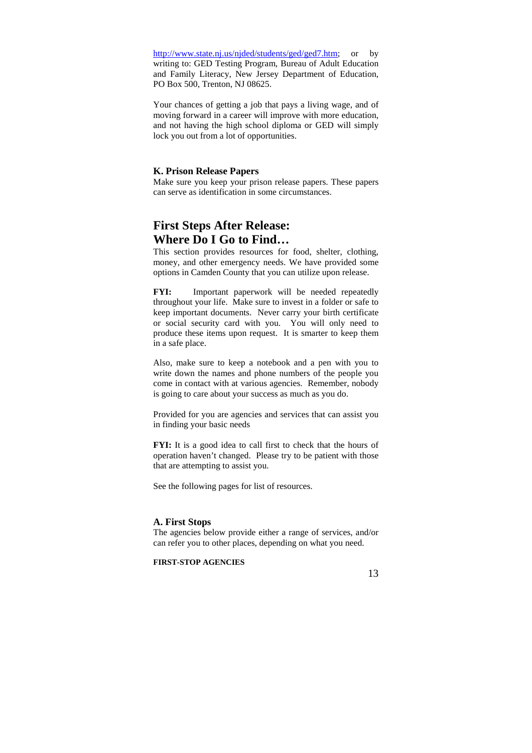http://www.state.nj.us/njded/students/ged/ged7.htm; or by writing to: GED Testing Program, Bureau of Adult Education and Family Literacy, New Jersey Department of Education, PO Box 500, Trenton, NJ 08625.

Your chances of getting a job that pays a living wage, and of moving forward in a career will improve with more education, and not having the high school diploma or GED will simply lock you out from a lot of opportunities.

#### **K. Prison Release Papers**

Make sure you keep your prison release papers. These papers can serve as identification in some circumstances.

## **First Steps After Release: Where Do I Go to Find…**

This section provides resources for food, shelter, clothing, money, and other emergency needs. We have provided some options in Camden County that you can utilize upon release.

**FYI:** Important paperwork will be needed repeatedly throughout your life. Make sure to invest in a folder or safe to keep important documents. Never carry your birth certificate or social security card with you. You will only need to produce these items upon request. It is smarter to keep them in a safe place.

Also, make sure to keep a notebook and a pen with you to write down the names and phone numbers of the people you come in contact with at various agencies. Remember, nobody is going to care about your success as much as you do.

Provided for you are agencies and services that can assist you in finding your basic needs

**FYI:** It is a good idea to call first to check that the hours of operation haven't changed. Please try to be patient with those that are attempting to assist you.

See the following pages for list of resources.

## **A. First Stops**

The agencies below provide either a range of services, and/or can refer you to other places, depending on what you need.

## **FIRST-STOP AGENCIES**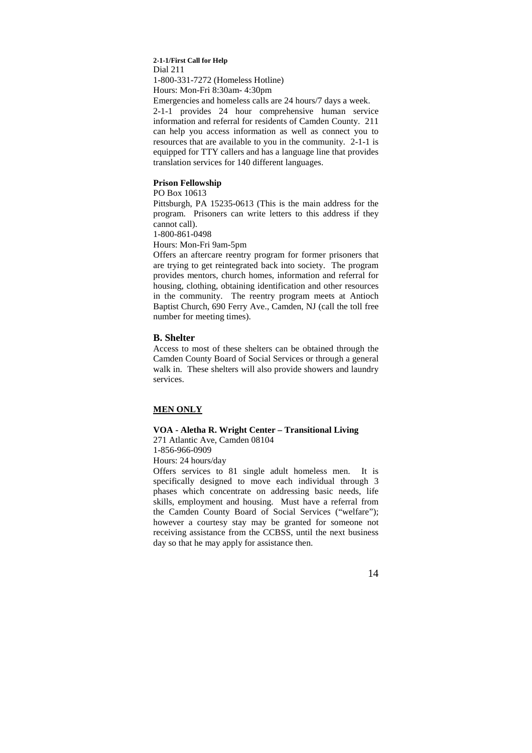#### **2-1-1/First Call for Help**  Dial 211 1-800-331-7272 (Homeless Hotline) Hours: Mon-Fri 8:30am- 4:30pm

Emergencies and homeless calls are 24 hours/7 days a week. 2-1-1 provides 24 hour comprehensive human service information and referral for residents of Camden County. 211 can help you access information as well as connect you to resources that are available to you in the community. 2-1-1 is equipped for TTY callers and has a language line that provides translation services for 140 different languages.

#### **Prison Fellowship**

PO Box 10613

Pittsburgh, PA 15235-0613 (This is the main address for the program. Prisoners can write letters to this address if they cannot call).

1-800-861-0498

Hours: Mon-Fri 9am-5pm

Offers an aftercare reentry program for former prisoners that are trying to get reintegrated back into society. The program provides mentors, church homes, information and referral for housing, clothing, obtaining identification and other resources in the community. The reentry program meets at Antioch Baptist Church, 690 Ferry Ave., Camden, NJ (call the toll free number for meeting times).

#### **B. Shelter**

Access to most of these shelters can be obtained through the Camden County Board of Social Services or through a general walk in. These shelters will also provide showers and laundry services.

## **MEN ONLY**

## **VOA - Aletha R. Wright Center – Transitional Living**

271 Atlantic Ave, Camden 08104 1-856-966-0909

Hours: 24 hours/day

Offers services to 81 single adult homeless men. It is specifically designed to move each individual through 3 phases which concentrate on addressing basic needs, life skills, employment and housing. Must have a referral from the Camden County Board of Social Services ("welfare"); however a courtesy stay may be granted for someone not receiving assistance from the CCBSS, until the next business day so that he may apply for assistance then.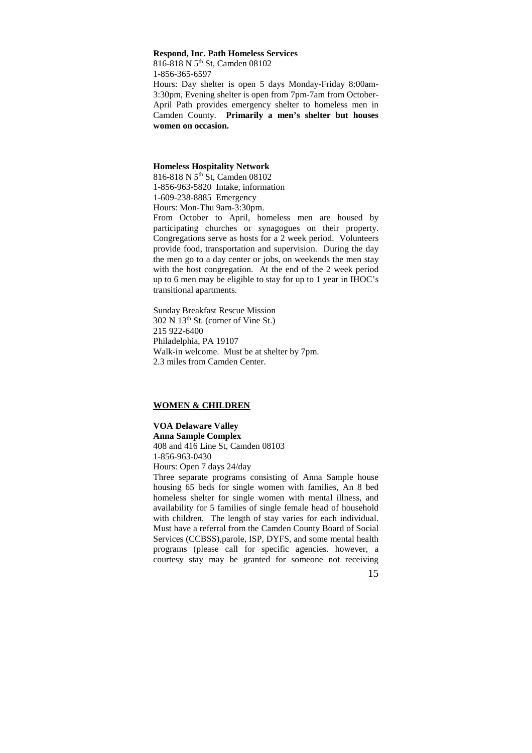#### **Respond, Inc. Path Homeless Services**

816-818 N 5th St, Camden 08102 1-856-365-6597 Hours: Day shelter is open 5 days Monday-Friday 8:00am-3:30pm, Evening shelter is open from 7pm-7am from October-April Path provides emergency shelter to homeless men in Camden County. **Primarily a men's shelter but houses women on occasion.**

#### **Homeless Hospitality Network**

816-818 N 5th St, Camden 08102 1-856-963-5820 Intake, information

1-609-238-8885 Emergency Hours: Mon-Thu 9am-3:30pm.

From October to April, homeless men are housed by participating churches or synagogues on their property. Congregations serve as hosts for a 2 week period. Volunteers provide food, transportation and supervision. During the day the men go to a day center or jobs, on weekends the men stay with the host congregation. At the end of the 2 week period up to 6 men may be eligible to stay for up to 1 year in IHOC's transitional apartments.

Sunday Breakfast Rescue Mission 302 N 13th St. (corner of Vine St.) 215 922-6400 Philadelphia, PA 19107 Walk-in welcome. Must be at shelter by 7pm. 2.3 miles from Camden Center.

#### **WOMEN & CHILDREN**

**VOA Delaware Valley Anna Sample Complex**  408 and 416 Line St, Camden 08103 1-856-963-0430 Hours: Open 7 days 24/day

Three separate programs consisting of Anna Sample house housing 65 beds for single women with families, An 8 bed homeless shelter for single women with mental illness, and availability for 5 families of single female head of household with children. The length of stay varies for each individual. Must have a referral from the Camden County Board of Social Services (CCBSS),parole, ISP, DYFS, and some mental health programs (please call for specific agencies. however, a courtesy stay may be granted for someone not receiving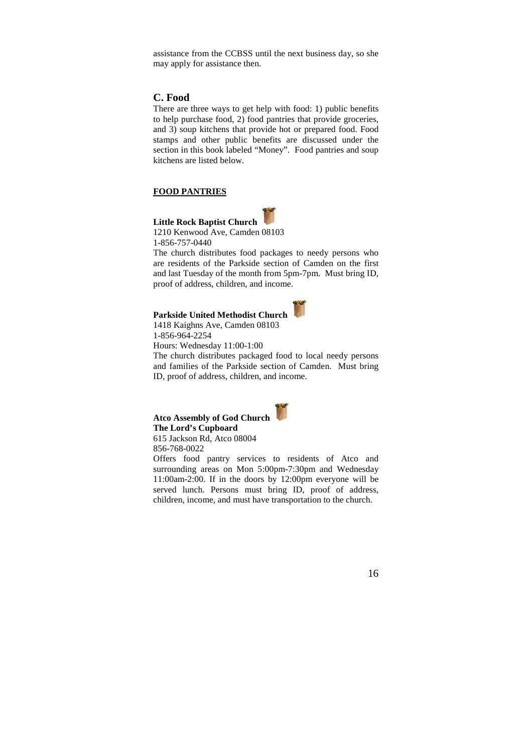assistance from the CCBSS until the next business day, so she may apply for assistance then.

## **C. Food**

There are three ways to get help with food: 1) public benefits to help purchase food, 2) food pantries that provide groceries, and 3) soup kitchens that provide hot or prepared food. Food stamps and other public benefits are discussed under the section in this book labeled "Money". Food pantries and soup kitchens are listed below.

## **FOOD PANTRIES**



**Little Rock Baptist Church**  1210 Kenwood Ave, Camden 08103 1-856-757-0440

The church distributes food packages to needy persons who are residents of the Parkside section of Camden on the first and last Tuesday of the month from 5pm-7pm. Must bring ID, proof of address, children, and income.

## **Parkside United Methodist Church**



1418 Kaighns Ave, Camden 08103 1-856-964-2254

Hours: Wednesday 11:00-1:00

The church distributes packaged food to local needy persons and families of the Parkside section of Camden. Must bring ID, proof of address, children, and income.

**Atco Assembly of God Church The Lord's Cupboard**  615 Jackson Rd, Atco 08004 856-768-0022

Offers food pantry services to residents of Atco and surrounding areas on Mon 5:00pm-7:30pm and Wednesday 11:00am-2:00. If in the doors by 12:00pm everyone will be served lunch. Persons must bring ID, proof of address, children, income, and must have transportation to the church.

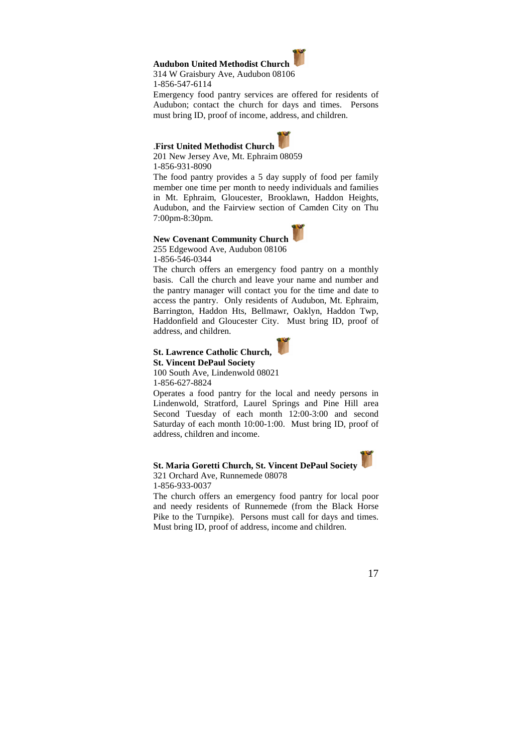## **Audubon United Methodist Church**

314 W Graisbury Ave, Audubon 08106

1-856-547-6114

Emergency food pantry services are offered for residents of Audubon; contact the church for days and times. Persons must bring ID, proof of income, address, and children.

## .**First United Methodist Church**



201 New Jersey Ave, Mt. Ephraim 08059 1-856-931-8090

The food pantry provides a 5 day supply of food per family member one time per month to needy individuals and families in Mt. Ephraim, Gloucester, Brooklawn, Haddon Heights, Audubon, and the Fairview section of Camden City on Thu 7:00pm-8:30pm.

#### **New Covenant Community Church**

255 Edgewood Ave, Audubon 08106 1-856-546-0344

The church offers an emergency food pantry on a monthly basis. Call the church and leave your name and number and the pantry manager will contact you for the time and date to access the pantry. Only residents of Audubon, Mt. Ephraim, Barrington, Haddon Hts, Bellmawr, Oaklyn, Haddon Twp, Haddonfield and Gloucester City. Must bring ID, proof of address, and children.



**St. Lawrence Catholic Church, St. Vincent DePaul Society** 

100 South Ave, Lindenwold 08021 1-856-627-8824

Operates a food pantry for the local and needy persons in Lindenwold, Stratford, Laurel Springs and Pine Hill area Second Tuesday of each month 12:00-3:00 and second Saturday of each month 10:00-1:00. Must bring ID, proof of address, children and income.

#### **St. Maria Goretti Church, St. Vincent DePaul Society**

321 Orchard Ave, Runnemede 08078 1-856-933-0037

The church offers an emergency food pantry for local poor and needy residents of Runnemede (from the Black Horse Pike to the Turnpike). Persons must call for days and times. Must bring ID, proof of address, income and children.

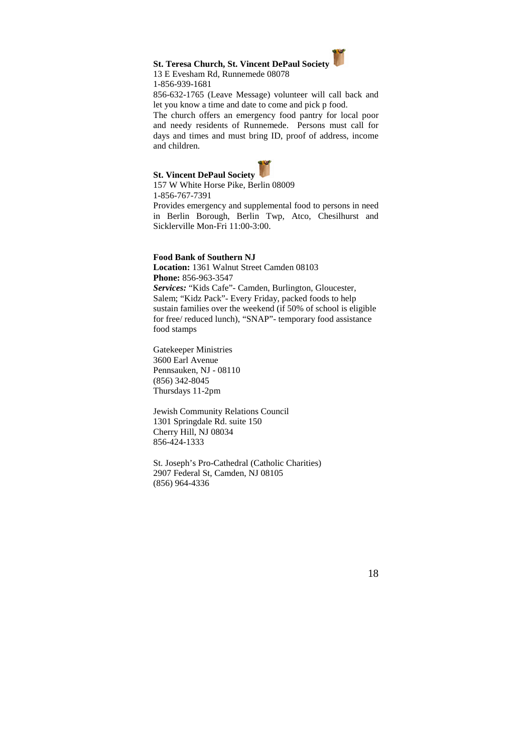## **St. Teresa Church, St. Vincent DePaul Society**

#### 13 E Evesham Rd, Runnemede 08078 1-856-939-1681

856-632-1765 (Leave Message) volunteer will call back and let you know a time and date to come and pick p food.

The church offers an emergency food pantry for local poor and needy residents of Runnemede. Persons must call for days and times and must bring ID, proof of address, income and children.

## **St. Vincent DePaul Society**



157 W White Horse Pike, Berlin 08009 1-856-767-7391

Provides emergency and supplemental food to persons in need in Berlin Borough, Berlin Twp, Atco, Chesilhurst and Sicklerville Mon-Fri 11:00-3:00.

#### **Food Bank of Southern NJ**

**Location:** 1361 Walnut Street Camden 08103 **Phone:** 856-963-3547 *Services:* "Kids Cafe"- Camden, Burlington, Gloucester, Salem; "Kidz Pack"- Every Friday, packed foods to help sustain families over the weekend (if 50% of school is eligible for free/ reduced lunch), "SNAP"- temporary food assistance food stamps

Gatekeeper Ministries 3600 Earl Avenue Pennsauken, NJ - 08110 (856) 342-8045 Thursdays 11-2pm

Jewish Community Relations Council 1301 Springdale Rd. suite 150 Cherry Hill, NJ 08034 856-424-1333

St. Joseph's Pro-Cathedral (Catholic Charities) 2907 Federal St, Camden, NJ 08105 (856) 964-4336

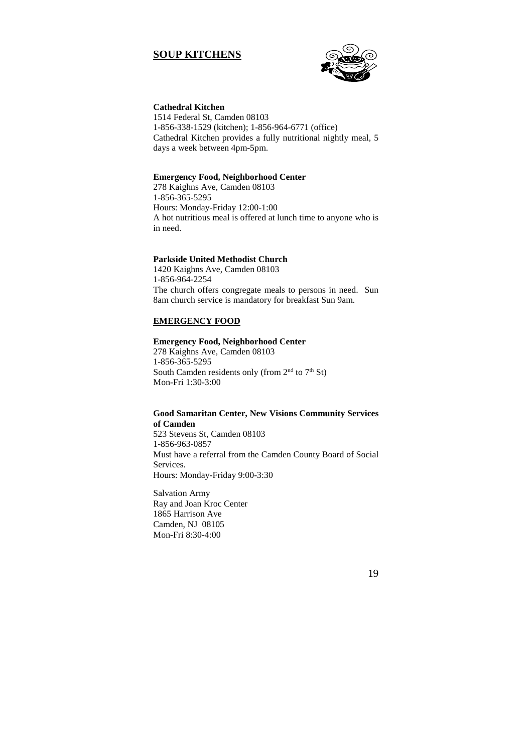## **SOUP KITCHENS**



## **Cathedral Kitchen**

1514 Federal St, Camden 08103 1-856-338-1529 (kitchen); 1-856-964-6771 (office) Cathedral Kitchen provides a fully nutritional nightly meal, 5 days a week between 4pm-5pm.

#### **Emergency Food, Neighborhood Center**

278 Kaighns Ave, Camden 08103 1-856-365-5295 Hours: Monday-Friday 12:00-1:00 A hot nutritious meal is offered at lunch time to anyone who is in need.

## **Parkside United Methodist Church**

1420 Kaighns Ave, Camden 08103 1-856-964-2254 The church offers congregate meals to persons in need. Sun 8am church service is mandatory for breakfast Sun 9am.

#### **EMERGENCY FOOD**

#### **Emergency Food, Neighborhood Center**

278 Kaighns Ave, Camden 08103 1-856-365-5295 South Camden residents only (from  $2<sup>nd</sup>$  to  $7<sup>th</sup>$  St) Mon-Fri 1:30-3:00

#### **Good Samaritan Center, New Visions Community Services of Camden**

523 Stevens St, Camden 08103 1-856-963-0857 Must have a referral from the Camden County Board of Social Services. Hours: Monday-Friday 9:00-3:30

Salvation Army Ray and Joan Kroc Center 1865 Harrison Ave Camden, NJ 08105 Mon-Fri 8:30-4:00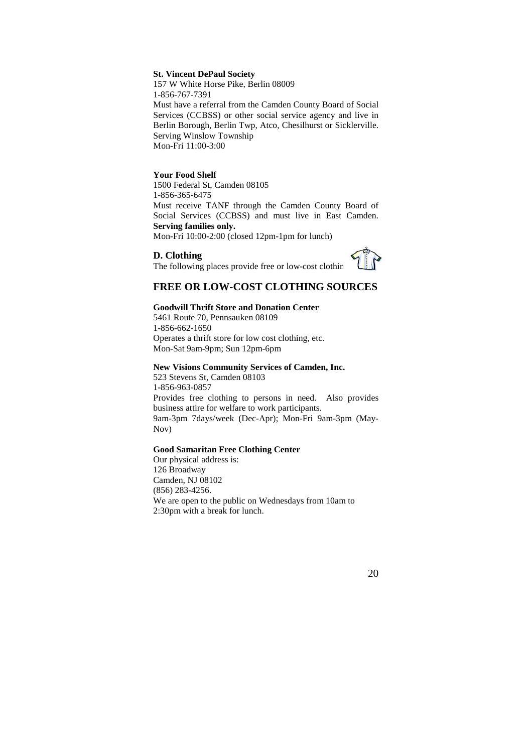### **St. Vincent DePaul Society**

157 W White Horse Pike, Berlin 08009 1-856-767-7391 Must have a referral from the Camden County Board of Social Services (CCBSS) or other social service agency and live in Berlin Borough, Berlin Twp, Atco, Chesilhurst or Sicklerville. Serving Winslow Township Mon-Fri 11:00-3:00

#### **Your Food Shelf**

1500 Federal St, Camden 08105 1-856-365-6475 Must receive TANF through the Camden County Board of Social Services (CCBSS) and must live in East Camden. **Serving families only.**

Mon-Fri 10:00-2:00 (closed 12pm-1pm for lunch)

#### **D. Clothing**



## The following places provide free or low-cost clothin

## **FREE OR LOW-COST CLOTHING SOURCES**

#### **Goodwill Thrift Store and Donation Center**

5461 Route 70, Pennsauken 08109 1-856-662-1650 Operates a thrift store for low cost clothing, etc. Mon-Sat 9am-9pm; Sun 12pm-6pm

#### **New Visions Community Services of Camden, Inc.**

523 Stevens St, Camden 08103 1-856-963-0857 Provides free clothing to persons in need. Also provides business attire for welfare to work participants. 9am-3pm 7days/week (Dec-Apr); Mon-Fri 9am-3pm (May-Nov)

#### **Good Samaritan Free Clothing Center**

Our physical address is: 126 Broadway Camden, NJ 08102 (856) 283-4256. We are open to the public on Wednesdays from 10am to 2:30pm with a break for lunch.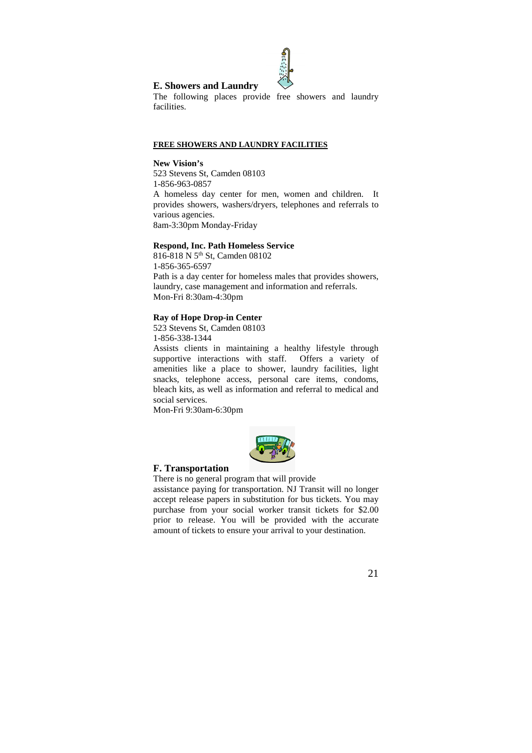

## **E. Showers and Laundry**

The following places provide free showers and laundry facilities.

#### **FREE SHOWERS AND LAUNDRY FACILITIES**

**New Vision's**  523 Stevens St, Camden 08103 1-856-963-0857 A homeless day center for men, women and children. It provides showers, washers/dryers, telephones and referrals to various agencies. 8am-3:30pm Monday-Friday

#### **Respond, Inc. Path Homeless Service**

816-818 N 5<sup>th</sup> St, Camden 08102 1-856-365-6597 Path is a day center for homeless males that provides showers, laundry, case management and information and referrals. Mon-Fri 8:30am-4:30pm

#### **Ray of Hope Drop-in Center**

523 Stevens St, Camden 08103 1-856-338-1344

Assists clients in maintaining a healthy lifestyle through supportive interactions with staff. Offers a variety of amenities like a place to shower, laundry facilities, light snacks, telephone access, personal care items, condoms, bleach kits, as well as information and referral to medical and social services.

Mon-Fri 9:30am-6:30pm



## **F. Transportation**

There is no general program that will provide assistance paying for transportation. NJ Transit will no longer accept release papers in substitution for bus tickets. You may purchase from your social worker transit tickets for \$2.00 prior to release. You will be provided with the accurate amount of tickets to ensure your arrival to your destination.

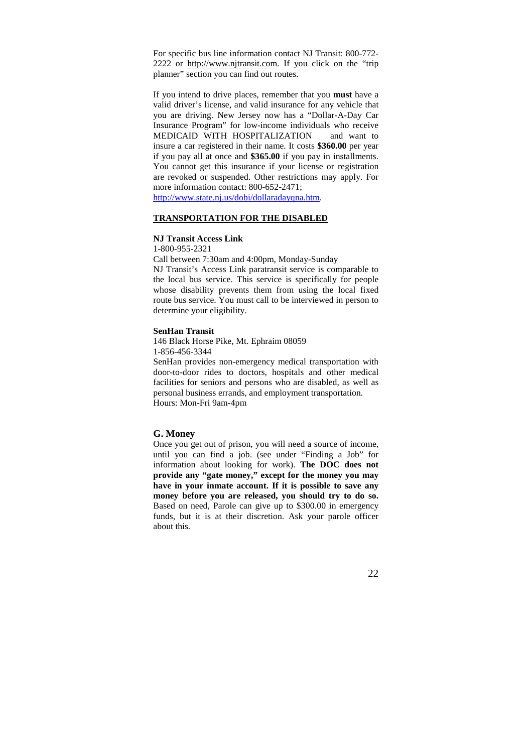For specific bus line information contact NJ Transit: 800-772- 2222 or http://www.njtransit.com. If you click on the "trip planner" section you can find out routes.

If you intend to drive places, remember that you **must** have a valid driver's license, and valid insurance for any vehicle that you are driving. New Jersey now has a "Dollar-A-Day Car Insurance Program" for low-income individuals who receive MEDICAID WITH HOSPITALIZATION and want to insure a car registered in their name. It costs **\$360.00** per year if you pay all at once and **\$365.00** if you pay in installments. You cannot get this insurance if your license or registration are revoked or suspended. Other restrictions may apply. For more information contact: 800-652-2471;

http://www.state.nj.us/dobi/dollaradayqna.htm.

#### **TRANSPORTATION FOR THE DISABLED**

#### **NJ Transit Access Link**

1-800-955-2321

Call between 7:30am and 4:00pm, Monday-Sunday NJ Transit's Access Link paratransit service is comparable to the local bus service. This service is specifically for people whose disability prevents them from using the local fixed route bus service. You must call to be interviewed in person to determine your eligibility.

#### **SenHan Transit**

146 Black Horse Pike, Mt. Ephraim 08059

1-856-456-3344

SenHan provides non-emergency medical transportation with door-to-door rides to doctors, hospitals and other medical facilities for seniors and persons who are disabled, as well as personal business errands, and employment transportation. Hours: Mon-Fri 9am-4pm

#### **G. Money**

Once you get out of prison, you will need a source of income, until you can find a job. (see under "Finding a Job" for information about looking for work). **The DOC does not provide any "gate money," except for the money you may have in your inmate account. If it is possible to save any money before you are released, you should try to do so.**  Based on need, Parole can give up to \$300.00 in emergency funds, but it is at their discretion. Ask your parole officer about this.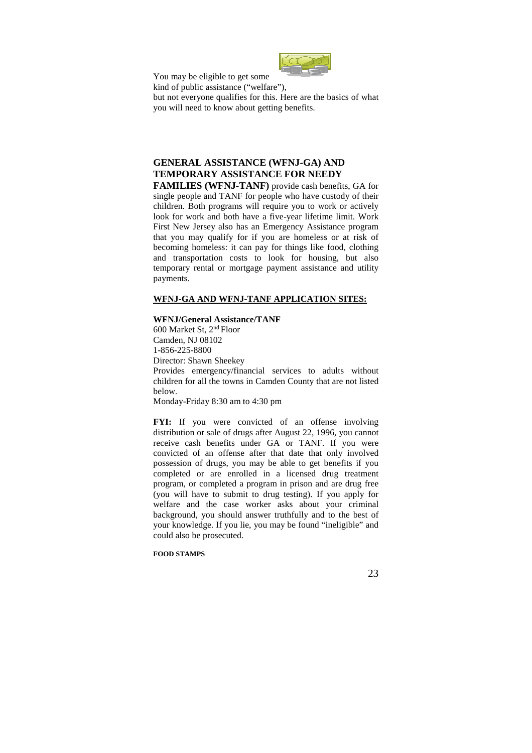

You may be eligible to get some

kind of public assistance ("welfare"),

but not everyone qualifies for this. Here are the basics of what you will need to know about getting benefits.

## **GENERAL ASSISTANCE (WFNJ-GA) AND TEMPORARY ASSISTANCE FOR NEEDY**

**FAMILIES (WFNJ-TANF)** provide cash benefits, GA for single people and TANF for people who have custody of their children. Both programs will require you to work or actively look for work and both have a five-year lifetime limit. Work First New Jersey also has an Emergency Assistance program that you may qualify for if you are homeless or at risk of becoming homeless: it can pay for things like food, clothing and transportation costs to look for housing, but also temporary rental or mortgage payment assistance and utility payments.

## **WFNJ-GA AND WFNJ-TANF APPLICATION SITES:**

#### **WFNJ/General Assistance/TANF**

600 Market St, 2nd Floor Camden, NJ 08102 1-856-225-8800 Director: Shawn Sheekey Provides emergency/financial services to adults without children for all the towns in Camden County that are not listed below. Monday-Friday 8:30 am to 4:30 pm

FYI: If you were convicted of an offense involving distribution or sale of drugs after August 22, 1996, you cannot receive cash benefits under GA or TANF. If you were convicted of an offense after that date that only involved possession of drugs, you may be able to get benefits if you completed or are enrolled in a licensed drug treatment program, or completed a program in prison and are drug free (you will have to submit to drug testing). If you apply for welfare and the case worker asks about your criminal background, you should answer truthfully and to the best of your knowledge. If you lie, you may be found "ineligible" and could also be prosecuted.

#### **FOOD STAMPS**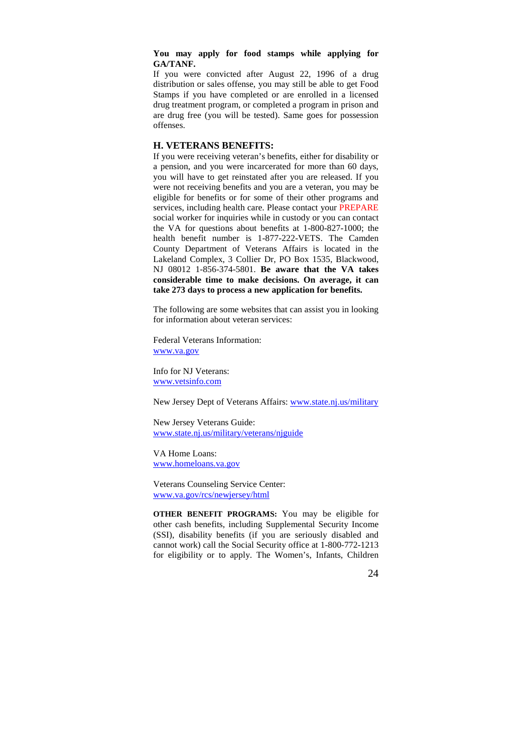#### **You may apply for food stamps while applying for GA/TANF.**

If you were convicted after August 22, 1996 of a drug distribution or sales offense, you may still be able to get Food Stamps if you have completed or are enrolled in a licensed drug treatment program, or completed a program in prison and are drug free (you will be tested). Same goes for possession offenses.

#### **H. VETERANS BENEFITS:**

If you were receiving veteran's benefits, either for disability or a pension, and you were incarcerated for more than 60 days, you will have to get reinstated after you are released. If you were not receiving benefits and you are a veteran, you may be eligible for benefits or for some of their other programs and services, including health care. Please contact your PREPARE social worker for inquiries while in custody or you can contact the VA for questions about benefits at 1-800-827-1000; the health benefit number is 1-877-222-VETS. The Camden County Department of Veterans Affairs is located in the Lakeland Complex, 3 Collier Dr, PO Box 1535, Blackwood, NJ 08012 1-856-374-5801. **Be aware that the VA takes considerable time to make decisions. On average, it can take 273 days to process a new application for benefits.**

The following are some websites that can assist you in looking for information about veteran services:

Federal Veterans Information: www.va.gov

Info for NJ Veterans: www.vetsinfo.com

New Jersey Dept of Veterans Affairs: www.state.nj.us/military

New Jersey Veterans Guide: www.state.nj.us/military/veterans/njguide

VA Home Loans: www.homeloans.va.gov

Veterans Counseling Service Center: www.va.gov/rcs/newjersey/html

**OTHER BENEFIT PROGRAMS:** You may be eligible for other cash benefits, including Supplemental Security Income (SSI), disability benefits (if you are seriously disabled and cannot work) call the Social Security office at 1-800-772-1213 for eligibility or to apply. The Women's, Infants, Children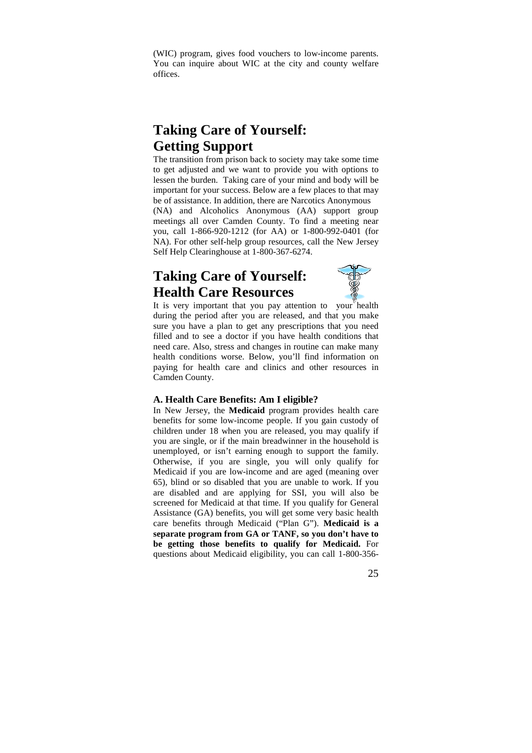(WIC) program, gives food vouchers to low-income parents. You can inquire about WIC at the city and county welfare offices.

## **Taking Care of Yourself: Getting Support**

The transition from prison back to society may take some time to get adjusted and we want to provide you with options to lessen the burden. Taking care of your mind and body will be important for your success. Below are a few places to that may be of assistance. In addition, there are Narcotics Anonymous (NA) and Alcoholics Anonymous (AA) support group meetings all over Camden County. To find a meeting near you, call 1-866-920-1212 (for AA) or 1-800-992-0401 (for NA). For other self-help group resources, call the New Jersey Self Help Clearinghouse at 1-800-367-6274.

## **Taking Care of Yourself: Health Care Resources**



It is very important that you pay attention to your health during the period after you are released, and that you make sure you have a plan to get any prescriptions that you need filled and to see a doctor if you have health conditions that need care. Also, stress and changes in routine can make many health conditions worse. Below, you'll find information on paying for health care and clinics and other resources in Camden County.

## **A. Health Care Benefits: Am I eligible?**

In New Jersey, the **Medicaid** program provides health care benefits for some low-income people. If you gain custody of children under 18 when you are released, you may qualify if you are single, or if the main breadwinner in the household is unemployed, or isn't earning enough to support the family. Otherwise, if you are single, you will only qualify for Medicaid if you are low-income and are aged (meaning over 65), blind or so disabled that you are unable to work. If you are disabled and are applying for SSI, you will also be screened for Medicaid at that time. If you qualify for General Assistance (GA) benefits, you will get some very basic health care benefits through Medicaid ("Plan G"). **Medicaid is a separate program from GA or TANF, so you don't have to be getting those benefits to qualify for Medicaid.** For questions about Medicaid eligibility, you can call 1-800-356-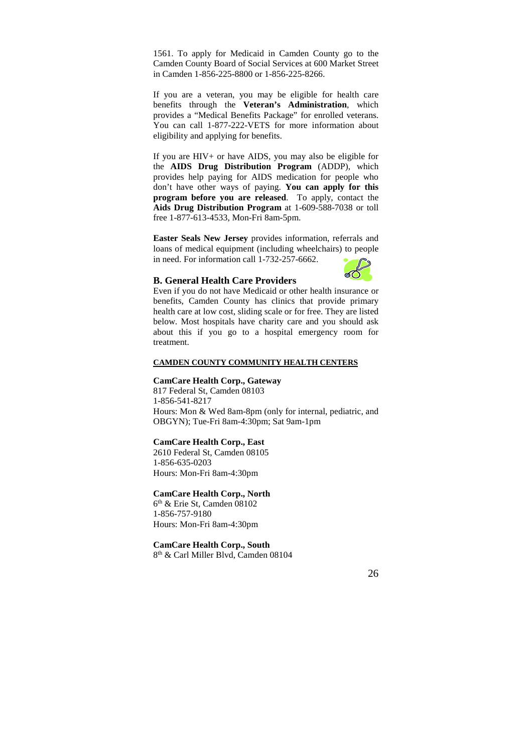1561. To apply for Medicaid in Camden County go to the Camden County Board of Social Services at 600 Market Street in Camden 1-856-225-8800 or 1-856-225-8266.

If you are a veteran, you may be eligible for health care benefits through the **Veteran's Administration**, which provides a "Medical Benefits Package" for enrolled veterans. You can call 1-877-222-VETS for more information about eligibility and applying for benefits.

If you are HIV+ or have AIDS, you may also be eligible for the **AIDS Drug Distribution Program** (ADDP), which provides help paying for AIDS medication for people who don't have other ways of paying. **You can apply for this program before you are released**. To apply, contact the **Aids Drug Distribution Program** at 1-609-588-7038 or toll free 1-877-613-4533, Mon-Fri 8am-5pm.

**Easter Seals New Jersey** provides information, referrals and loans of medical equipment (including wheelchairs) to people in need. For information call 1-732-257-6662.



### **B. General Health Care Providers**

Even if you do not have Medicaid or other health insurance or benefits, Camden County has clinics that provide primary health care at low cost, sliding scale or for free. They are listed below. Most hospitals have charity care and you should ask about this if you go to a hospital emergency room for treatment.

#### **CAMDEN COUNTY COMMUNITY HEALTH CENTERS**

#### **CamCare Health Corp., Gateway**

817 Federal St, Camden 08103 1-856-541-8217 Hours: Mon & Wed 8am-8pm (only for internal, pediatric, and OBGYN); Tue-Fri 8am-4:30pm; Sat 9am-1pm

#### **CamCare Health Corp., East**

2610 Federal St, Camden 08105 1-856-635-0203 Hours: Mon-Fri 8am-4:30pm

#### **CamCare Health Corp., North**

6 th & Erie St, Camden 08102 1-856-757-9180 Hours: Mon-Fri 8am-4:30pm

## **CamCare Health Corp., South**

8 th & Carl Miller Blvd, Camden 08104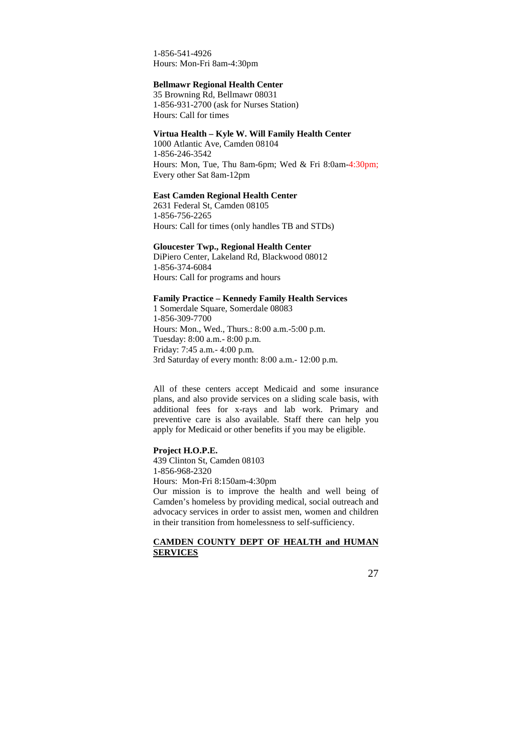1-856-541-4926 Hours: Mon-Fri 8am-4:30pm

#### **Bellmawr Regional Health Center**

35 Browning Rd, Bellmawr 08031 1-856-931-2700 (ask for Nurses Station) Hours: Call for times

## **Virtua Health – Kyle W. Will Family Health Center**

1000 Atlantic Ave, Camden 08104 1-856-246-3542 Hours: Mon, Tue, Thu 8am-6pm; Wed & Fri 8:0am-4:30pm; Every other Sat 8am-12pm

#### **East Camden Regional Health Center**

2631 Federal St, Camden 08105 1-856-756-2265 Hours: Call for times (only handles TB and STDs)

**Gloucester Twp., Regional Health Center** 

DiPiero Center, Lakeland Rd, Blackwood 08012 1-856-374-6084 Hours: Call for programs and hours

### **Family Practice – Kennedy Family Health Services**

1 Somerdale Square, Somerdale 08083 1-856-309-7700 Hours: Mon., Wed., Thurs.: 8:00 a.m.-5:00 p.m. Tuesday: 8:00 a.m.- 8:00 p.m. Friday: 7:45 a.m.- 4:00 p.m. 3rd Saturday of every month: 8:00 a.m.- 12:00 p.m.

All of these centers accept Medicaid and some insurance plans, and also provide services on a sliding scale basis, with additional fees for x-rays and lab work. Primary and preventive care is also available. Staff there can help you apply for Medicaid or other benefits if you may be eligible.

## **Project H.O.P.E.**

439 Clinton St, Camden 08103 1-856-968-2320

Hours: Mon-Fri 8:150am-4:30pm

Our mission is to improve the health and well being of Camden's homeless by providing medical, social outreach and advocacy services in order to assist men, women and children in their transition from homelessness to self-sufficiency.

#### **CAMDEN COUNTY DEPT OF HEALTH and HUMAN SERVICES**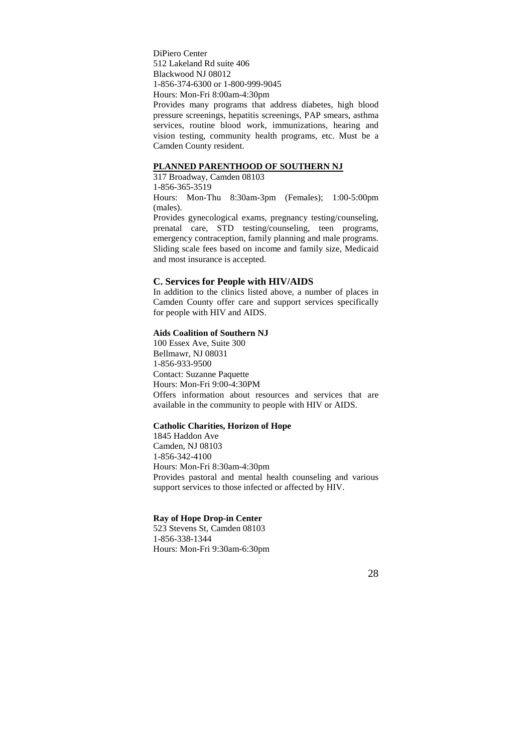DiPiero Center 512 Lakeland Rd suite 406 Blackwood NJ 08012 1-856-374-6300 or 1-800-999-9045 Hours: Mon-Fri 8:00am-4:30pm

Provides many programs that address diabetes, high blood pressure screenings, hepatitis screenings, PAP smears, asthma services, routine blood work, immunizations, hearing and vision testing, community health programs, etc. Must be a Camden County resident.

### **PLANNED PARENTHOOD OF SOUTHERN NJ**

317 Broadway, Camden 08103 1-856-365-3519

Hours: Mon-Thu 8:30am-3pm (Females); 1:00-5:00pm (males).

Provides gynecological exams, pregnancy testing/counseling, prenatal care, STD testing/counseling, teen programs, emergency contraception, family planning and male programs. Sliding scale fees based on income and family size, Medicaid and most insurance is accepted.

## **C. Services for People with HIV/AIDS**

In addition to the clinics listed above, a number of places in Camden County offer care and support services specifically for people with HIV and AIDS.

#### **Aids Coalition of Southern NJ**

100 Essex Ave, Suite 300 Bellmawr, NJ 08031 1-856-933-9500 Contact: Suzanne Paquette Hours: Mon-Fri 9:00-4:30PM Offers information about resources and services that are available in the community to people with HIV or AIDS.

## **Catholic Charities, Horizon of Hope**

1845 Haddon Ave Camden, NJ 08103 1-856-342-4100 Hours: Mon-Fri 8:30am-4:30pm Provides pastoral and mental health counseling and various support services to those infected or affected by HIV.

## **Ray of Hope Drop-in Center**

523 Stevens St, Camden 08103 1-856-338-1344 Hours: Mon-Fri 9:30am-6:30pm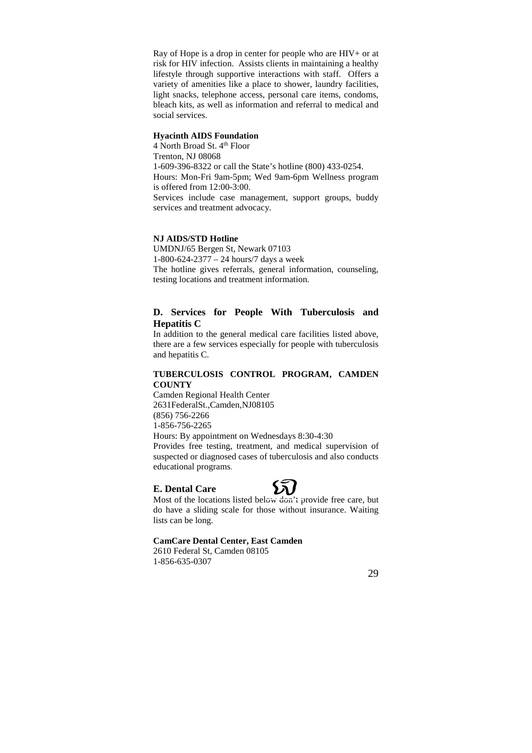Ray of Hope is a drop in center for people who are HIV+ or at risk for HIV infection. Assists clients in maintaining a healthy lifestyle through supportive interactions with staff. Offers a variety of amenities like a place to shower, laundry facilities, light snacks, telephone access, personal care items, condoms, bleach kits, as well as information and referral to medical and social services.

#### **Hyacinth AIDS Foundation**

4 North Broad St. 4<sup>th</sup> Floor Trenton, NJ 08068 1-609-396-8322 or call the State's hotline (800) 433-0254. Hours: Mon-Fri 9am-5pm; Wed 9am-6pm Wellness program is offered from 12:00-3:00. Services include case management, support groups, buddy services and treatment advocacy.

#### **NJ AIDS/STD Hotline**

UMDNJ/65 Bergen St, Newark 07103 1-800-624-2377 – 24 hours/7 days a week The hotline gives referrals, general information, counseling, testing locations and treatment information.

## **D. Services for People With Tuberculosis and Hepatitis C**

In addition to the general medical care facilities listed above, there are a few services especially for people with tuberculosis and hepatitis C.

#### **TUBERCULOSIS CONTROL PROGRAM, CAMDEN COUNTY**

Camden Regional Health Center 2631FederalSt.,Camden,NJ08105 (856) 756-2266 1-856-756-2265 Hours: By appointment on Wednesdays 8:30-4:30

Provides free testing, treatment, and medical supervision of suspected or diagnosed cases of tuberculosis and also conducts educational programs.

#### **E. Dental Care**



Most of the locations listed below don't provide free care, but do have a sliding scale for those without insurance. Waiting lists can be long.

#### **CamCare Dental Center, East Camden**

2610 Federal St, Camden 08105 1-856-635-0307

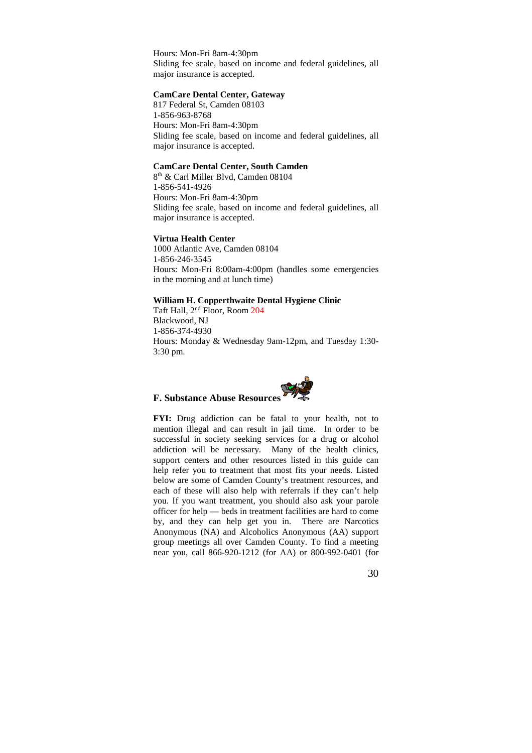Hours: Mon-Fri 8am-4:30pm Sliding fee scale, based on income and federal guidelines, all major insurance is accepted.

#### **CamCare Dental Center, Gateway**

817 Federal St, Camden 08103 1-856-963-8768 Hours: Mon-Fri 8am-4:30pm Sliding fee scale, based on income and federal guidelines, all major insurance is accepted.

#### **CamCare Dental Center, South Camden**

8 th & Carl Miller Blvd, Camden 08104 1-856-541-4926 Hours: Mon-Fri 8am-4:30pm Sliding fee scale, based on income and federal guidelines, all major insurance is accepted.

#### **Virtua Health Center**

1000 Atlantic Ave, Camden 08104 1-856-246-3545 Hours: Mon-Fri 8:00am-4:00pm (handles some emergencies in the morning and at lunch time)

#### **William H. Copperthwaite Dental Hygiene Clinic**

Taft Hall, 2nd Floor, Room 204 Blackwood, NJ 1-856-374-4930 Hours: Monday & Wednesday 9am-12pm, and Tuesday 1:30- 3:30 pm.

## **F. Substance Abuse Resources**

**FYI:** Drug addiction can be fatal to your health, not to mention illegal and can result in jail time. In order to be successful in society seeking services for a drug or alcohol addiction will be necessary. Many of the health clinics, support centers and other resources listed in this guide can help refer you to treatment that most fits your needs. Listed below are some of Camden County's treatment resources, and each of these will also help with referrals if they can't help you. If you want treatment, you should also ask your parole officer for help — beds in treatment facilities are hard to come by, and they can help get you in. There are Narcotics Anonymous (NA) and Alcoholics Anonymous (AA) support group meetings all over Camden County. To find a meeting near you, call 866-920-1212 (for AA) or 800-992-0401 (for

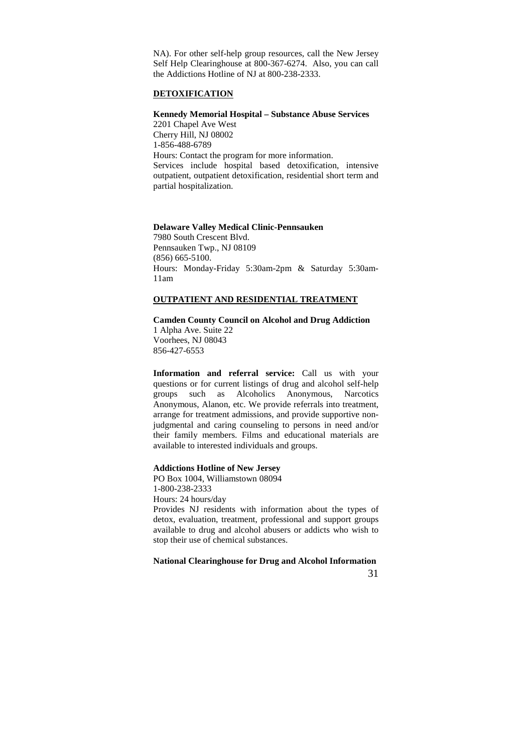NA). For other self-help group resources, call the New Jersey Self Help Clearinghouse at 800-367-6274. Also, you can call the Addictions Hotline of NJ at 800-238-2333.

#### **DETOXIFICATION**

## **Kennedy Memorial Hospital – Substance Abuse Services**

2201 Chapel Ave West Cherry Hill, NJ 08002 1-856-488-6789 Hours: Contact the program for more information. Services include hospital based detoxification, intensive outpatient, outpatient detoxification, residential short term and partial hospitalization.

#### **Delaware Valley Medical Clinic-Pennsauken**

7980 South Crescent Blvd. Pennsauken Twp., NJ 08109 (856) 665-5100. Hours: Monday-Friday 5:30am-2pm & Saturday 5:30am-11am

## **OUTPATIENT AND RESIDENTIAL TREATMENT**

#### **Camden County Council on Alcohol and Drug Addiction**

1 Alpha Ave. Suite 22 Voorhees, NJ 08043 856-427-6553

**Information and referral service:** Call us with your questions or for current listings of drug and alcohol self-help groups such as Alcoholics Anonymous, Narcotics Anonymous, Alanon, etc. We provide referrals into treatment, arrange for treatment admissions, and provide supportive nonjudgmental and caring counseling to persons in need and/or their family members. Films and educational materials are available to interested individuals and groups.

#### **Addictions Hotline of New Jersey**

PO Box 1004, Williamstown 08094 1-800-238-2333

Hours: 24 hours/day

Provides NJ residents with information about the types of detox, evaluation, treatment, professional and support groups available to drug and alcohol abusers or addicts who wish to stop their use of chemical substances.

#### **National Clearinghouse for Drug and Alcohol Information**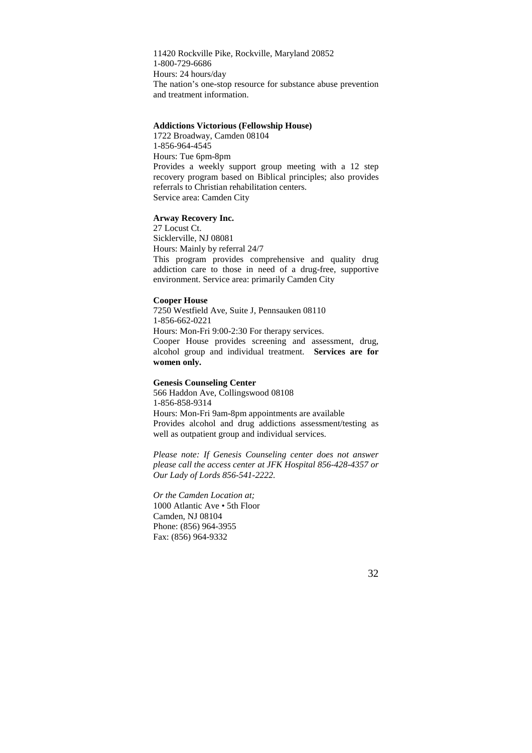11420 Rockville Pike, Rockville, Maryland 20852 1-800-729-6686 Hours: 24 hours/day The nation's one-stop resource for substance abuse prevention and treatment information.

#### **Addictions Victorious (Fellowship House)**

1722 Broadway, Camden 08104 1-856-964-4545 Hours: Tue 6pm-8pm Provides a weekly support group meeting with a 12 step recovery program based on Biblical principles; also provides referrals to Christian rehabilitation centers. Service area: Camden City

#### **Arway Recovery Inc.**

27 Locust Ct. Sicklerville, NJ 08081 Hours: Mainly by referral 24/7 This program provides comprehensive and quality drug addiction care to those in need of a drug-free, supportive environment. Service area: primarily Camden City

#### **Cooper House**

7250 Westfield Ave, Suite J, Pennsauken 08110 1-856-662-0221 Hours: Mon-Fri 9:00-2:30 For therapy services. Cooper House provides screening and assessment, drug, alcohol group and individual treatment. **Services are for women only.**

#### **Genesis Counseling Center**

566 Haddon Ave, Collingswood 08108 1-856-858-9314 Hours: Mon-Fri 9am-8pm appointments are available Provides alcohol and drug addictions assessment/testing as well as outpatient group and individual services.

*Please note: If Genesis Counseling center does not answer please call the access center at JFK Hospital 856-428-4357 or Our Lady of Lords 856-541-2222.* 

*Or the Camden Location at;*  1000 Atlantic Ave • 5th Floor Camden, NJ 08104 Phone: (856) 964-3955 Fax: (856) 964-9332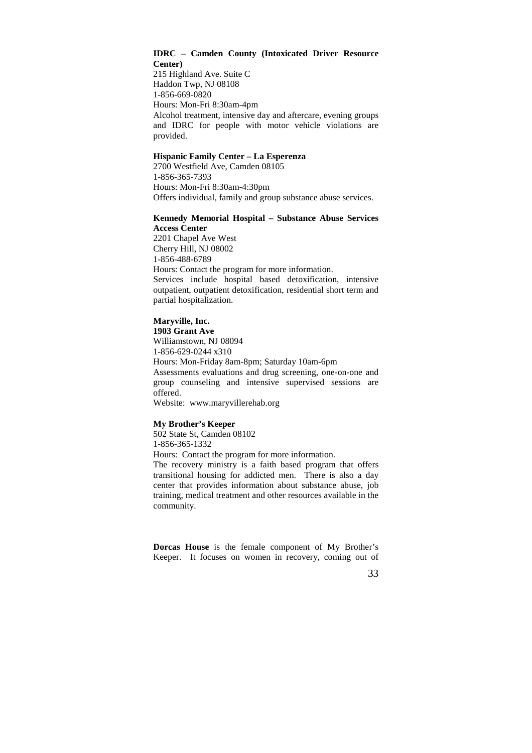#### **IDRC – Camden County (Intoxicated Driver Resource Center)**

215 Highland Ave. Suite C Haddon Twp, NJ 08108 1-856-669-0820 Hours: Mon-Fri 8:30am-4pm Alcohol treatment, intensive day and aftercare, evening groups and IDRC for people with motor vehicle violations are provided.

## **Hispanic Family Center – La Esperenza**

2700 Westfield Ave, Camden 08105 1-856-365-7393 Hours: Mon-Fri 8:30am-4:30pm Offers individual, family and group substance abuse services.

#### **Kennedy Memorial Hospital – Substance Abuse Services Access Center**

2201 Chapel Ave West Cherry Hill, NJ 08002 1-856-488-6789 Hours: Contact the program for more information. Services include hospital based detoxification, intensive outpatient, outpatient detoxification, residential short term and partial hospitalization.

#### **Maryville, Inc.**

**1903 Grant Ave** 

Williamstown, NJ 08094 1-856-629-0244 x310 Hours: Mon-Friday 8am-8pm; Saturday 10am-6pm Assessments evaluations and drug screening, one-on-one and group counseling and intensive supervised sessions are offered. Website: www.maryvillerehab.org

#### **My Brother's Keeper**

502 State St, Camden 08102 1-856-365-1332 Hours: Contact the program for more information. The recovery ministry is a faith based program that offers transitional housing for addicted men. There is also a day

center that provides information about substance abuse, job training, medical treatment and other resources available in the community.

**Dorcas House** is the female component of My Brother's Keeper. It focuses on women in recovery, coming out of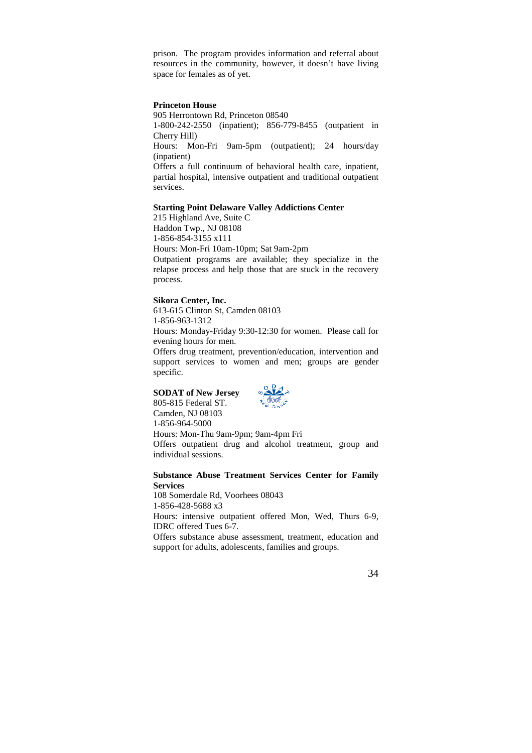prison. The program provides information and referral about resources in the community, however, it doesn't have living space for females as of yet.

#### **Princeton House**

905 Herrontown Rd, Princeton 08540 1-800-242-2550 (inpatient); 856-779-8455 (outpatient in Cherry Hill)

Hours: Mon-Fri 9am-5pm (outpatient); 24 hours/day (inpatient)

Offers a full continuum of behavioral health care, inpatient, partial hospital, intensive outpatient and traditional outpatient services.

#### **Starting Point Delaware Valley Addictions Center**

215 Highland Ave, Suite C Haddon Twp., NJ 08108 1-856-854-3155 x111 Hours: Mon-Fri 10am-10pm; Sat 9am-2pm Outpatient programs are available; they specialize in the relapse process and help those that are stuck in the recovery process.

#### **Sikora Center, Inc.**

613-615 Clinton St, Camden 08103 1-856-963-1312 Hours: Monday-Friday 9:30-12:30 for women. Please call for evening hours for men. Offers drug treatment, prevention/education, intervention and

support services to women and men; groups are gender specific.

## **SODAT of New Jersey**

805-815 Federal ST.



Camden, NJ 08103 1-856-964-5000 Hours: Mon-Thu 9am-9pm; 9am-4pm Fri Offers outpatient drug and alcohol treatment, group and individual sessions.

#### **Substance Abuse Treatment Services Center for Family Services**

108 Somerdale Rd, Voorhees 08043 1-856-428-5688 x3

Hours: intensive outpatient offered Mon, Wed, Thurs 6-9, IDRC offered Tues 6-7.

Offers substance abuse assessment, treatment, education and support for adults, adolescents, families and groups.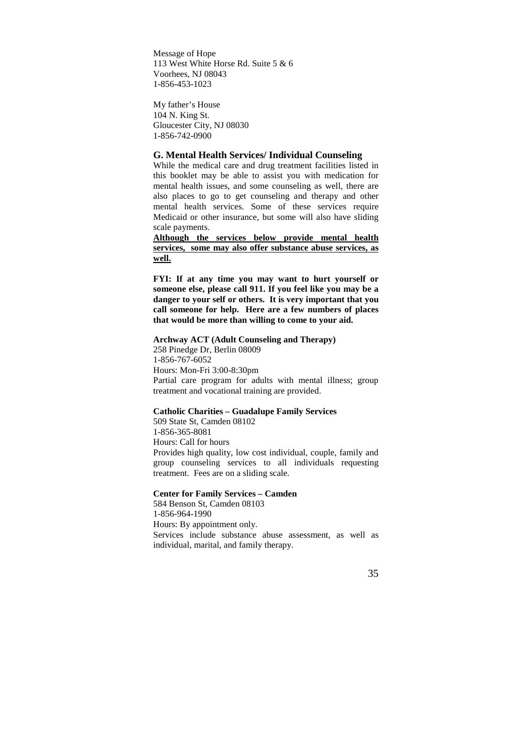Message of Hope 113 West White Horse Rd. Suite 5 & 6 Voorhees, NJ 08043 1-856-453-1023

My father's House 104 N. King St. Gloucester City, NJ 08030 1-856-742-0900

## **G. Mental Health Services/ Individual Counseling**

While the medical care and drug treatment facilities listed in this booklet may be able to assist you with medication for mental health issues, and some counseling as well, there are also places to go to get counseling and therapy and other mental health services. Some of these services require Medicaid or other insurance, but some will also have sliding scale payments.

**Although the services below provide mental health services, some may also offer substance abuse services, as well.** 

**FYI: If at any time you may want to hurt yourself or someone else, please call 911. If you feel like you may be a danger to your self or others. It is very important that you call someone for help. Here are a few numbers of places that would be more than willing to come to your aid.**

**Archway ACT (Adult Counseling and Therapy)**  258 Pinedge Dr, Berlin 08009 1-856-767-6052 Hours: Mon-Fri 3:00-8:30pm Partial care program for adults with mental illness; group treatment and vocational training are provided.

#### **Catholic Charities – Guadalupe Family Services**

509 State St, Camden 08102 1-856-365-8081 Hours: Call for hours Provides high quality, low cost individual, couple, family and group counseling services to all individuals requesting treatment. Fees are on a sliding scale.

#### **Center for Family Services – Camden**

584 Benson St, Camden 08103 1-856-964-1990 Hours: By appointment only. Services include substance abuse assessment, as well as individual, marital, and family therapy.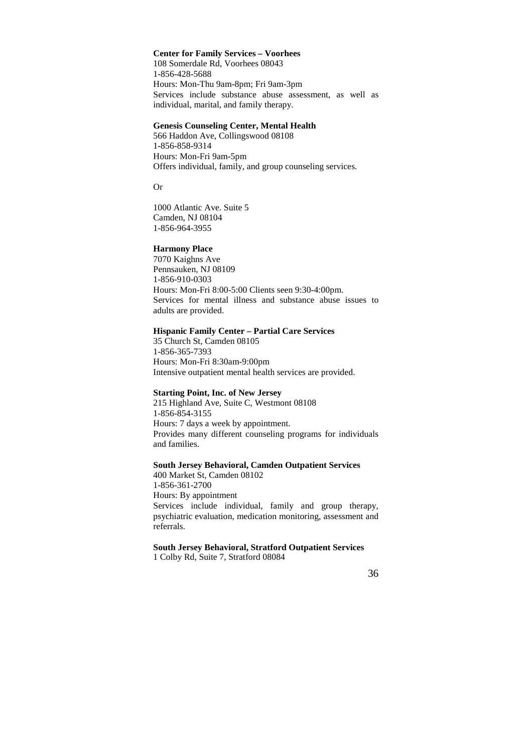#### **Center for Family Services – Voorhees**

108 Somerdale Rd, Voorhees 08043 1-856-428-5688 Hours: Mon-Thu 9am-8pm; Fri 9am-3pm Services include substance abuse assessment, as well as individual, marital, and family therapy.

## **Genesis Counseling Center, Mental Health**

566 Haddon Ave, Collingswood 08108 1-856-858-9314 Hours: Mon-Fri 9am-5pm Offers individual, family, and group counseling services.

Or

1000 Atlantic Ave. Suite 5 Camden, NJ 08104 1-856-964-3955

#### **Harmony Place**

7070 Kaighns Ave Pennsauken, NJ 08109 1-856-910-0303 Hours: Mon-Fri 8:00-5:00 Clients seen 9:30-4:00pm. Services for mental illness and substance abuse issues to adults are provided.

## **Hispanic Family Center – Partial Care Services**

35 Church St, Camden 08105 1-856-365-7393 Hours: Mon-Fri 8:30am-9:00pm Intensive outpatient mental health services are provided.

#### **Starting Point, Inc. of New Jersey**

215 Highland Ave, Suite C, Westmont 08108 1-856-854-3155 Hours: 7 days a week by appointment. Provides many different counseling programs for individuals and families.

#### **South Jersey Behavioral, Camden Outpatient Services**

400 Market St, Camden 08102 1-856-361-2700 Hours: By appointment Services include individual, family and group therapy, psychiatric evaluation, medication monitoring, assessment and referrals.

**South Jersey Behavioral, Stratford Outpatient Services**  1 Colby Rd, Suite 7, Stratford 08084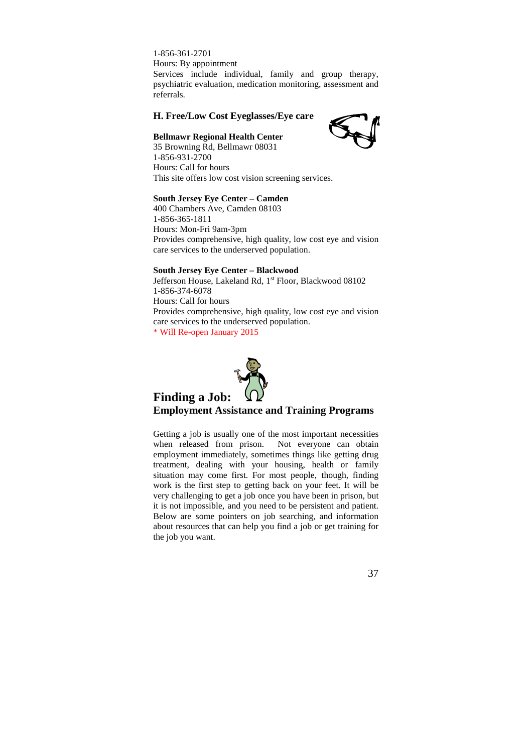1-856-361-2701 Hours: By appointment Services include individual, family and group therapy, psychiatric evaluation, medication monitoring, assessment and referrals.

## **H. Free/Low Cost Eyeglasses/Eye care**

## **Bellmawr Regional Health Center**



35 Browning Rd, Bellmawr 08031 1-856-931-2700 Hours: Call for hours This site offers low cost vision screening services.

#### **South Jersey Eye Center – Camden**

400 Chambers Ave, Camden 08103 1-856-365-1811 Hours: Mon-Fri 9am-3pm Provides comprehensive, high quality, low cost eye and vision care services to the underserved population.

#### **South Jersey Eye Center – Blackwood**

Jefferson House, Lakeland Rd, 1<sup>st</sup> Floor, Blackwood 08102 1-856-374-6078 Hours: Call for hours Provides comprehensive, high quality, low cost eye and vision care services to the underserved population. \* Will Re-open January 2015



## **Employment Assistance and Training Programs**

Getting a job is usually one of the most important necessities when released from prison. Not everyone can obtain employment immediately, sometimes things like getting drug treatment, dealing with your housing, health or family situation may come first. For most people, though, finding work is the first step to getting back on your feet. It will be very challenging to get a job once you have been in prison, but it is not impossible, and you need to be persistent and patient. Below are some pointers on job searching, and information about resources that can help you find a job or get training for the job you want.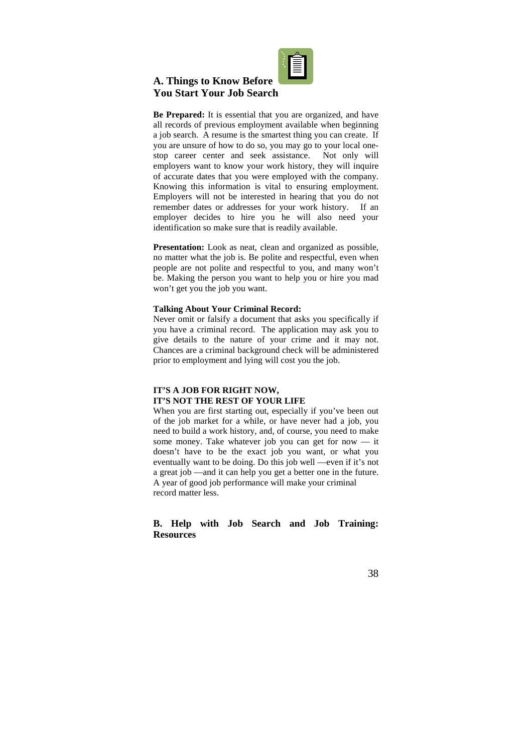

## **A. Things to Know Before You Start Your Job Search**

**Be Prepared:** It is essential that you are organized, and have all records of previous employment available when beginning a job search. A resume is the smartest thing you can create. If you are unsure of how to do so, you may go to your local onestop career center and seek assistance. Not only will employers want to know your work history, they will inquire of accurate dates that you were employed with the company. Knowing this information is vital to ensuring employment. Employers will not be interested in hearing that you do not remember dates or addresses for your work history. If an employer decides to hire you he will also need your identification so make sure that is readily available.

Presentation: Look as neat, clean and organized as possible, no matter what the job is. Be polite and respectful, even when people are not polite and respectful to you, and many won't be. Making the person you want to help you or hire you mad won't get you the job you want.

#### **Talking About Your Criminal Record:**

Never omit or falsify a document that asks you specifically if you have a criminal record. The application may ask you to give details to the nature of your crime and it may not. Chances are a criminal background check will be administered prior to employment and lying will cost you the job.

#### **IT'S A JOB FOR RIGHT NOW, IT'S NOT THE REST OF YOUR LIFE**

When you are first starting out, especially if you've been out of the job market for a while, or have never had a job, you need to build a work history, and, of course, you need to make some money. Take whatever job you can get for now — it doesn't have to be the exact job you want, or what you eventually want to be doing. Do this job well —even if it's not a great job —and it can help you get a better one in the future. A year of good job performance will make your criminal record matter less.

## **B. Help with Job Search and Job Training: Resources**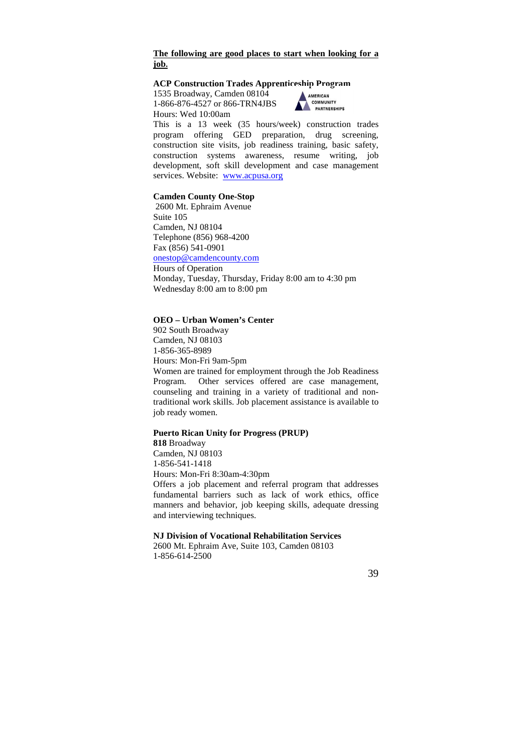## **The following are good places to start when looking for a job.**

#### **ACP Construction Trades Apprenticeship Program**

1535 Broadway, Camden 08104 1-866-876-4527 or 866-TRN4JBS Hours: Wed 10:00am



This is a 13 week (35 hours/week) construction trades program offering GED preparation, drug screening, construction site visits, job readiness training, basic safety, construction systems awareness, resume writing, job development, soft skill development and case management services. Website: www.acpusa.org

#### **Camden County One-Stop**

 2600 Mt. Ephraim Avenue Suite 105 Camden, NJ 08104 Telephone (856) 968-4200 Fax (856) 541-0901 onestop@camdencounty.com Hours of Operation Monday, Tuesday, Thursday, Friday 8:00 am to 4:30 pm Wednesday 8:00 am to 8:00 pm

#### **OEO – Urban Women's Center**

902 South Broadway Camden, NJ 08103 1-856-365-8989 Hours: Mon-Fri 9am-5pm Women are trained for employment through the Job Readiness Program. Other services offered are case management, counseling and training in a variety of traditional and nontraditional work skills. Job placement assistance is available to job ready women.

#### **Puerto Rican Unity for Progress (PRUP)**

and interviewing techniques.

**818** Broadway Camden, NJ 08103 1-856-541-1418 Hours: Mon-Fri 8:30am-4:30pm Offers a job placement and referral program that addresses fundamental barriers such as lack of work ethics, office manners and behavior, job keeping skills, adequate dressing

## **NJ Division of Vocational Rehabilitation Services**

2600 Mt. Ephraim Ave, Suite 103, Camden 08103 1-856-614-2500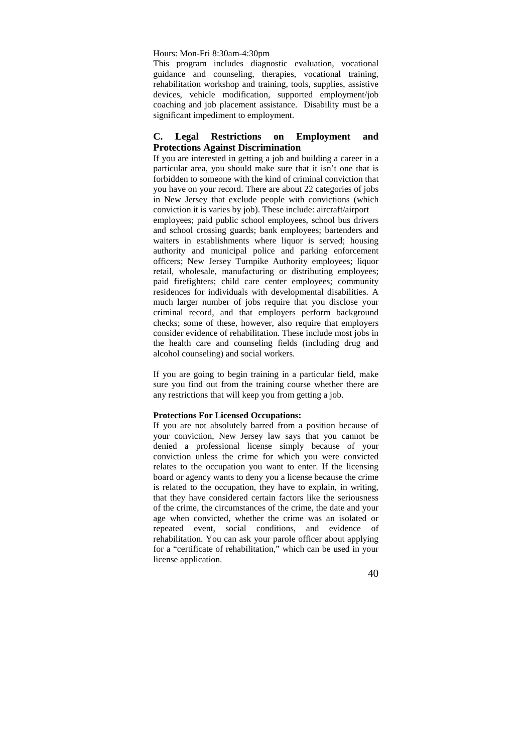#### Hours: Mon-Fri 8:30am-4:30pm

This program includes diagnostic evaluation, vocational guidance and counseling, therapies, vocational training, rehabilitation workshop and training, tools, supplies, assistive devices, vehicle modification, supported employment/job coaching and job placement assistance. Disability must be a significant impediment to employment.

## **C. Legal Restrictions on Employment and Protections Against Discrimination**

If you are interested in getting a job and building a career in a particular area, you should make sure that it isn't one that is forbidden to someone with the kind of criminal conviction that you have on your record. There are about 22 categories of jobs in New Jersey that exclude people with convictions (which conviction it is varies by job). These include: aircraft/airport employees; paid public school employees, school bus drivers and school crossing guards; bank employees; bartenders and waiters in establishments where liquor is served; housing authority and municipal police and parking enforcement officers; New Jersey Turnpike Authority employees; liquor retail, wholesale, manufacturing or distributing employees; paid firefighters; child care center employees; community residences for individuals with developmental disabilities. A much larger number of jobs require that you disclose your criminal record, and that employers perform background checks; some of these, however, also require that employers consider evidence of rehabilitation. These include most jobs in the health care and counseling fields (including drug and alcohol counseling) and social workers.

If you are going to begin training in a particular field, make sure you find out from the training course whether there are any restrictions that will keep you from getting a job.

#### **Protections For Licensed Occupations:**

If you are not absolutely barred from a position because of your conviction, New Jersey law says that you cannot be denied a professional license simply because of your conviction unless the crime for which you were convicted relates to the occupation you want to enter. If the licensing board or agency wants to deny you a license because the crime is related to the occupation, they have to explain, in writing, that they have considered certain factors like the seriousness of the crime, the circumstances of the crime, the date and your age when convicted, whether the crime was an isolated or repeated event, social conditions, and evidence of rehabilitation. You can ask your parole officer about applying for a "certificate of rehabilitation," which can be used in your license application.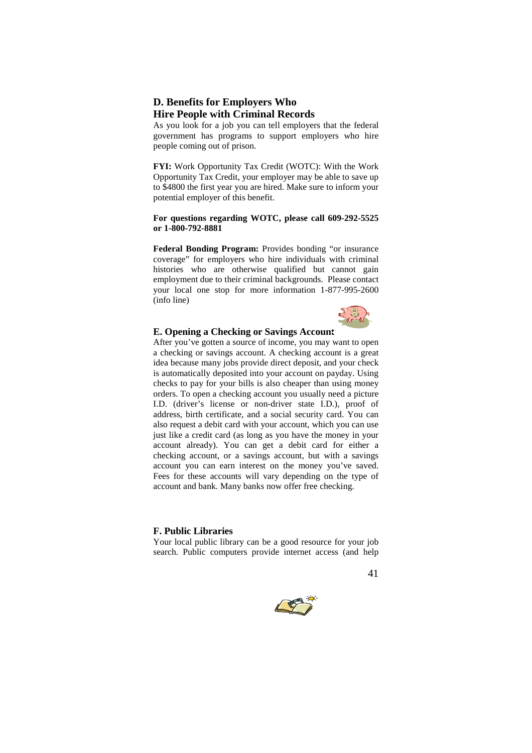## **D. Benefits for Employers Who Hire People with Criminal Records**

As you look for a job you can tell employers that the federal government has programs to support employers who hire people coming out of prison.

**FYI:** Work Opportunity Tax Credit (WOTC): With the Work Opportunity Tax Credit, your employer may be able to save up to \$4800 the first year you are hired. Make sure to inform your potential employer of this benefit.

#### **For questions regarding WOTC, please call 609-292-5525 or 1-800-792-8881**

Federal Bonding Program: Provides bonding "or insurance" coverage" for employers who hire individuals with criminal histories who are otherwise qualified but cannot gain employment due to their criminal backgrounds. Please contact your local one stop for more information 1-877-995-2600 (info line)



### **E. Opening a Checking or Savings Account**

After you've gotten a source of income, you may want to open a checking or savings account. A checking account is a great idea because many jobs provide direct deposit, and your check is automatically deposited into your account on payday. Using checks to pay for your bills is also cheaper than using money orders. To open a checking account you usually need a picture I.D. (driver's license or non-driver state I.D.), proof of address, birth certificate, and a social security card. You can also request a debit card with your account, which you can use just like a credit card (as long as you have the money in your account already). You can get a debit card for either a checking account, or a savings account, but with a savings account you can earn interest on the money you've saved. Fees for these accounts will vary depending on the type of account and bank. Many banks now offer free checking.

#### **F. Public Libraries**

Your local public library can be a good resource for your job search. Public computers provide internet access (and help



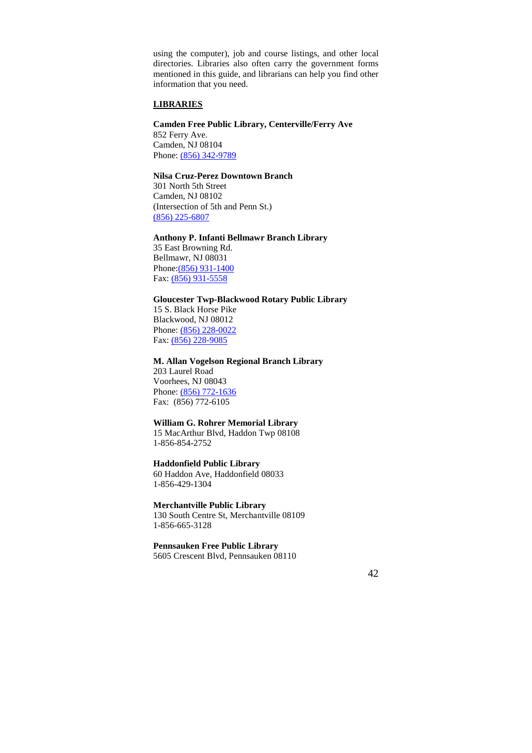using the computer), job and course listings, and other local directories. Libraries also often carry the government forms mentioned in this guide, and librarians can help you find other information that you need.

## **LIBRARIES**

## **Camden Free Public Library, Centerville/Ferry Ave**

852 Ferry Ave. Camden, NJ 08104 Phone: (856) 342-9789

## **Nilsa Cruz-Perez Downtown Branch**

301 North 5th Street Camden, NJ 08102 (Intersection of 5th and Penn St.) (856) 225-6807

## **Anthony P. Infanti Bellmawr Branch Library**

35 East Browning Rd. Bellmawr, NJ 08031 Phone:(856) 931-1400 Fax: (856) 931-5558

#### **Gloucester Twp-Blackwood Rotary Public Library**

15 S. Black Horse Pike Blackwood, NJ 08012 Phone: (856) 228-0022 Fax: (856) 228-9085

### **M. Allan Vogelson Regional Branch Library**

203 Laurel Road Voorhees, NJ 08043 Phone: (856) 772-1636 Fax: (856) 772-6105

#### **William G. Rohrer Memorial Library**

15 MacArthur Blvd, Haddon Twp 08108 1-856-854-2752

#### **Haddonfield Public Library**

60 Haddon Ave, Haddonfield 08033 1-856-429-1304

#### **Merchantville Public Library**

130 South Centre St, Merchantville 08109 1-856-665-3128

## **Pennsauken Free Public Library**

5605 Crescent Blvd, Pennsauken 08110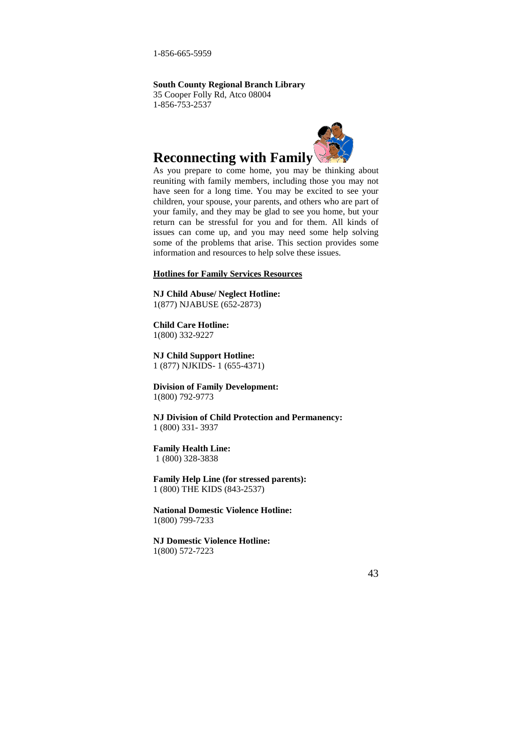1-856-665-5959

**South County Regional Branch Library** 

35 Cooper Folly Rd, Atco 08004 1-856-753-2537



# **Reconnecting with Family**

As you prepare to come home, you may be thinking about reuniting with family members, including those you may not have seen for a long time. You may be excited to see your children, your spouse, your parents, and others who are part of your family, and they may be glad to see you home, but your return can be stressful for you and for them. All kinds of issues can come up, and you may need some help solving some of the problems that arise. This section provides some information and resources to help solve these issues.

#### **Hotlines for Family Services Resources**

#### **NJ Child Abuse/ Neglect Hotline:**  1(877) NJABUSE (652-2873)

#### **Child Care Hotline:**  1(800) 332-9227

**NJ Child Support Hotline:**  1 (877) NJKIDS- 1 (655-4371)

**Division of Family Development:**  1(800) 792-9773

**NJ Division of Child Protection and Permanency:**  1 (800) 331- 3937

#### **Family Health Line:**

1 (800) 328-3838

**Family Help Line (for stressed parents):**  1 (800) THE KIDS (843-2537)

**National Domestic Violence Hotline:**  1(800) 799-7233

**NJ Domestic Violence Hotline:**  1(800) 572-7223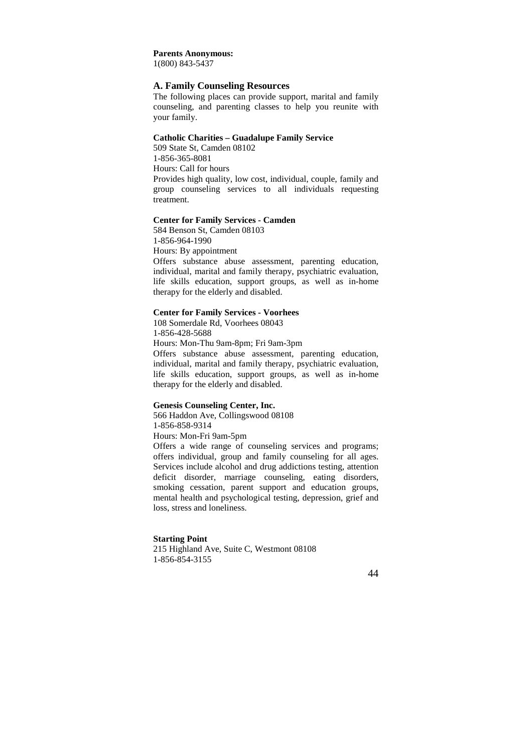#### **Parents Anonymous:**

1(800) 843-5437

## **A. Family Counseling Resources**

The following places can provide support, marital and family counseling, and parenting classes to help you reunite with your family.

#### **Catholic Charities – Guadalupe Family Service**

509 State St, Camden 08102 1-856-365-8081 Hours: Call for hours Provides high quality, low cost, individual, couple, family and group counseling services to all individuals requesting treatment.

#### **Center for Family Services - Camden**

584 Benson St, Camden 08103 1-856-964-1990 Hours: By appointment Offers substance abuse assessment, parenting education, individual, marital and family therapy, psychiatric evaluation, life skills education, support groups, as well as in-home therapy for the elderly and disabled.

#### **Center for Family Services - Voorhees**

108 Somerdale Rd, Voorhees 08043 1-856-428-5688 Hours: Mon-Thu 9am-8pm; Fri 9am-3pm Offers substance abuse assessment, parenting education, individual, marital and family therapy, psychiatric evaluation, life skills education, support groups, as well as in-home therapy for the elderly and disabled.

#### **Genesis Counseling Center, Inc.**

566 Haddon Ave, Collingswood 08108 1-856-858-9314 Hours: Mon-Fri 9am-5pm

Offers a wide range of counseling services and programs; offers individual, group and family counseling for all ages. Services include alcohol and drug addictions testing, attention deficit disorder, marriage counseling, eating disorders, smoking cessation, parent support and education groups, mental health and psychological testing, depression, grief and loss, stress and loneliness.

#### **Starting Point**

215 Highland Ave, Suite C, Westmont 08108 1-856-854-3155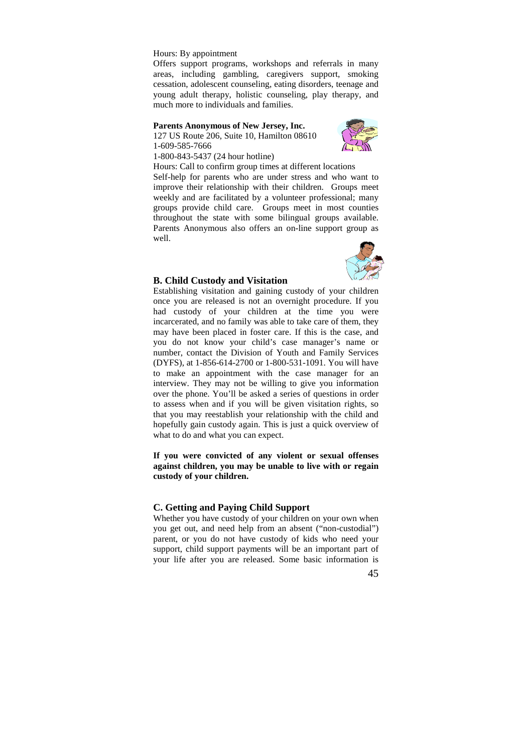#### Hours: By appointment

Offers support programs, workshops and referrals in many areas, including gambling, caregivers support, smoking cessation, adolescent counseling, eating disorders, teenage and young adult therapy, holistic counseling, play therapy, and much more to individuals and families.

#### **Parents Anonymous of New Jersey, Inc.**

127 US Route 206, Suite 10, Hamilton 08610 1-609-585-7666



1-800-843-5437 (24 hour hotline)

Hours: Call to confirm group times at different locations

Self-help for parents who are under stress and who want to improve their relationship with their children. Groups meet weekly and are facilitated by a volunteer professional; many groups provide child care. Groups meet in most counties throughout the state with some bilingual groups available. Parents Anonymous also offers an on-line support group as well.



#### **B. Child Custody and Visitation**

Establishing visitation and gaining custody of your children once you are released is not an overnight procedure. If you had custody of your children at the time you were incarcerated, and no family was able to take care of them, they may have been placed in foster care. If this is the case, and you do not know your child's case manager's name or number, contact the Division of Youth and Family Services (DYFS), at 1-856-614-2700 or 1-800-531-1091. You will have to make an appointment with the case manager for an interview. They may not be willing to give you information over the phone. You'll be asked a series of questions in order to assess when and if you will be given visitation rights, so that you may reestablish your relationship with the child and hopefully gain custody again. This is just a quick overview of what to do and what you can expect.

**If you were convicted of any violent or sexual offenses against children, you may be unable to live with or regain custody of your children.** 

#### **C. Getting and Paying Child Support**

Whether you have custody of your children on your own when you get out, and need help from an absent ("non-custodial") parent, or you do not have custody of kids who need your support, child support payments will be an important part of your life after you are released. Some basic information is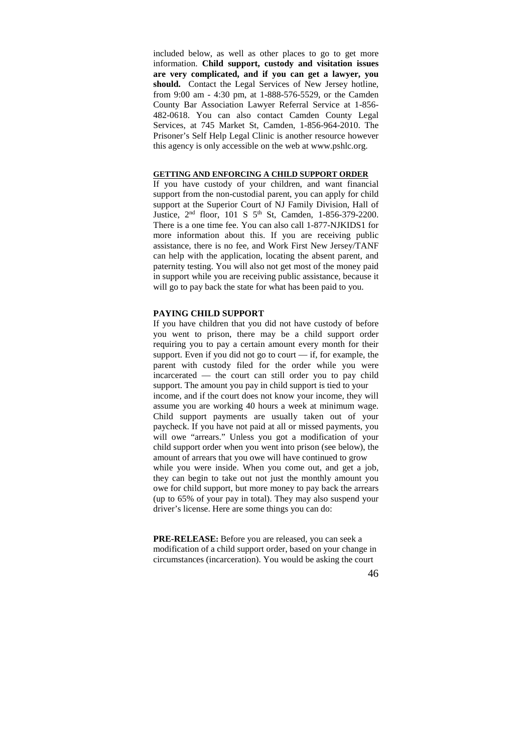included below, as well as other places to go to get more information. **Child support, custody and visitation issues are very complicated, and if you can get a lawyer, you should.** Contact the Legal Services of New Jersey hotline, from 9:00 am - 4:30 pm, at 1-888-576-5529, or the Camden County Bar Association Lawyer Referral Service at 1-856- 482-0618. You can also contact Camden County Legal Services, at 745 Market St, Camden, 1-856-964-2010. The Prisoner's Self Help Legal Clinic is another resource however this agency is only accessible on the web at www.pshlc.org.

## **GETTING AND ENFORCING A CHILD SUPPORT ORDER**

If you have custody of your children, and want financial support from the non-custodial parent, you can apply for child support at the Superior Court of NJ Family Division, Hall of Justice, 2<sup>nd</sup> floor, 101 S 5<sup>th</sup> St, Camden, 1-856-379-2200. There is a one time fee. You can also call 1-877-NJKIDS1 for more information about this. If you are receiving public assistance, there is no fee, and Work First New Jersey/TANF can help with the application, locating the absent parent, and paternity testing. You will also not get most of the money paid in support while you are receiving public assistance, because it will go to pay back the state for what has been paid to you.

#### **PAYING CHILD SUPPORT**

If you have children that you did not have custody of before you went to prison, there may be a child support order requiring you to pay a certain amount every month for their support. Even if you did not go to court — if, for example, the parent with custody filed for the order while you were incarcerated — the court can still order you to pay child support. The amount you pay in child support is tied to your income, and if the court does not know your income, they will assume you are working 40 hours a week at minimum wage. Child support payments are usually taken out of your paycheck. If you have not paid at all or missed payments, you will owe "arrears." Unless you got a modification of your child support order when you went into prison (see below), the amount of arrears that you owe will have continued to grow while you were inside. When you come out, and get a job, they can begin to take out not just the monthly amount you owe for child support, but more money to pay back the arrears (up to 65% of your pay in total). They may also suspend your driver's license. Here are some things you can do:

**PRE-RELEASE:** Before you are released, you can seek a modification of a child support order, based on your change in circumstances (incarceration). You would be asking the court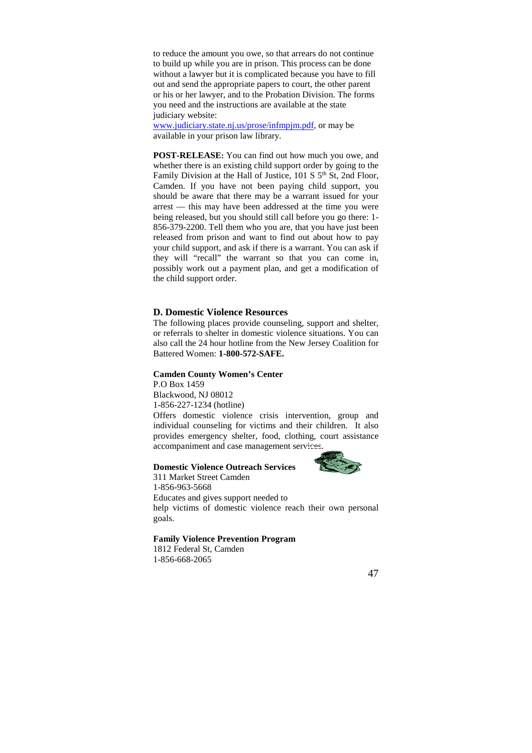to reduce the amount you owe, so that arrears do not continue to build up while you are in prison. This process can be done without a lawyer but it is complicated because you have to fill out and send the appropriate papers to court, the other parent or his or her lawyer, and to the Probation Division. The forms you need and the instructions are available at the state judiciary website:

www.judiciary.state.nj.us/prose/infmpjm.pdf, or may be available in your prison law library.

**POST-RELEASE:** You can find out how much you owe, and whether there is an existing child support order by going to the Family Division at the Hall of Justice, 101 S 5<sup>th</sup> St, 2nd Floor, Camden. If you have not been paying child support, you should be aware that there may be a warrant issued for your arrest — this may have been addressed at the time you were being released, but you should still call before you go there: 1- 856-379-2200. Tell them who you are, that you have just been released from prison and want to find out about how to pay your child support, and ask if there is a warrant. You can ask if they will "recall" the warrant so that you can come in, possibly work out a payment plan, and get a modification of the child support order.

## **D. Domestic Violence Resources**

The following places provide counseling, support and shelter, or referrals to shelter in domestic violence situations. You can also call the 24 hour hotline from the New Jersey Coalition for Battered Women: **1-800-572-SAFE.**

#### **Camden County Women's Center**

P.O Box 1459 Blackwood, NJ 08012 1-856-227-1234 (hotline) Offers domestic violence crisis intervention, group and individual counseling for victims and their children. It also provides emergency shelter, food, clothing, court assistance accompaniment and case management services.

#### **Domestic Violence Outreach Services**



311 Market Street Camden 1-856-963-5668 Educates and gives support needed to help victims of domestic violence reach their own personal goals.

### **Family Violence Prevention Program**

1812 Federal St, Camden 1-856-668-2065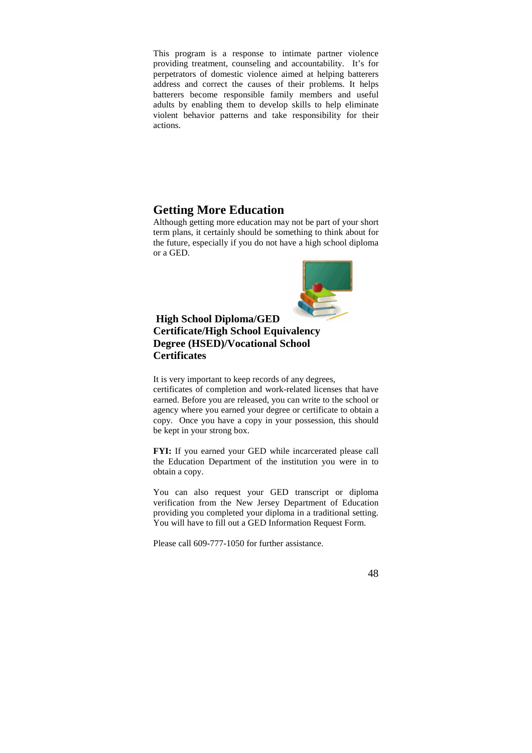This program is a response to intimate partner violence providing treatment, counseling and accountability. It's for perpetrators of domestic violence aimed at helping batterers address and correct the causes of their problems. It helps batterers become responsible family members and useful adults by enabling them to develop skills to help eliminate violent behavior patterns and take responsibility for their actions.

## **Getting More Education**

Although getting more education may not be part of your short term plans, it certainly should be something to think about for the future, especially if you do not have a high school diploma or a GED.



## **High School Diploma/GED Certificate/High School Equivalency Degree (HSED)/Vocational School Certificates**

It is very important to keep records of any degrees, certificates of completion and work-related licenses that have earned. Before you are released, you can write to the school or agency where you earned your degree or certificate to obtain a copy. Once you have a copy in your possession, this should be kept in your strong box.

**FYI:** If you earned your GED while incarcerated please call the Education Department of the institution you were in to obtain a copy.

You can also request your GED transcript or diploma verification from the New Jersey Department of Education providing you completed your diploma in a traditional setting. You will have to fill out a GED Information Request Form.

Please call 609-777-1050 for further assistance.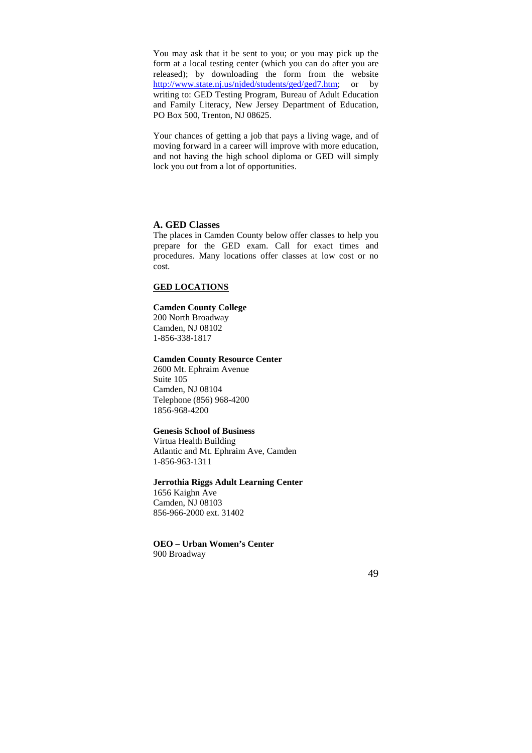You may ask that it be sent to you; or you may pick up the form at a local testing center (which you can do after you are released); by downloading the form from the website http://www.state.nj.us/njded/students/ged/ged7.htm; or by writing to: GED Testing Program, Bureau of Adult Education and Family Literacy, New Jersey Department of Education, PO Box 500, Trenton, NJ 08625.

Your chances of getting a job that pays a living wage, and of moving forward in a career will improve with more education, and not having the high school diploma or GED will simply lock you out from a lot of opportunities.

#### **A. GED Classes**

The places in Camden County below offer classes to help you prepare for the GED exam. Call for exact times and procedures. Many locations offer classes at low cost or no cost.

#### **GED LOCATIONS**

#### **Camden County College**

200 North Broadway Camden, NJ 08102 1-856-338-1817

#### **Camden County Resource Center**

2600 Mt. Ephraim Avenue Suite 105 Camden, NJ 08104 Telephone (856) 968-4200 1856-968-4200

#### **Genesis School of Business**

Virtua Health Building Atlantic and Mt. Ephraim Ave, Camden 1-856-963-1311

#### **Jerrothia Riggs Adult Learning Center**

1656 Kaighn Ave Camden, NJ 08103 856-966-2000 ext. 31402

#### **OEO – Urban Women's Center**  900 Broadway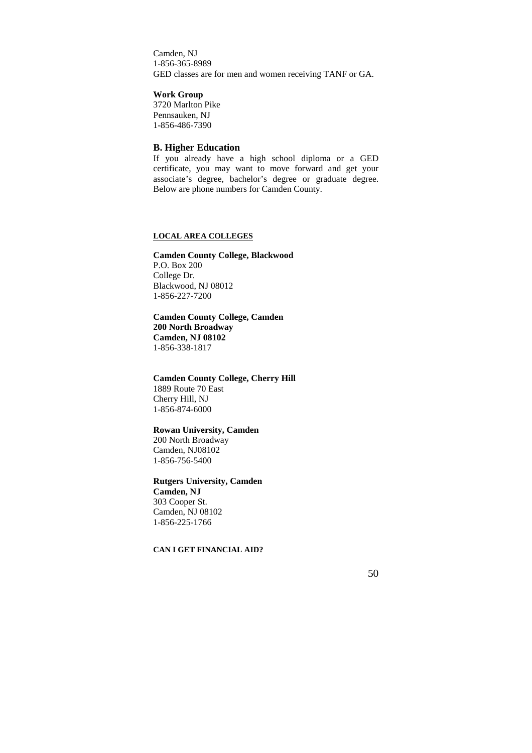Camden, NJ 1-856-365-8989 GED classes are for men and women receiving TANF or GA.

**Work Group** 

3720 Marlton Pike Pennsauken, NJ 1-856-486-7390

#### **B. Higher Education**

If you already have a high school diploma or a GED certificate, you may want to move forward and get your associate's degree, bachelor's degree or graduate degree. Below are phone numbers for Camden County.

#### **LOCAL AREA COLLEGES**

#### **Camden County College, Blackwood**  P.O. Box 200 College Dr. Blackwood, NJ 08012 1-856-227-7200

## **Camden County College, Camden 200 North Broadway Camden, NJ 08102**  1-856-338-1817

**Camden County College, Cherry Hill**  1889 Route 70 East Cherry Hill, NJ 1-856-874-6000

## **Rowan University, Camden**

200 North Broadway Camden, NJ08102 1-856-756-5400

#### **Rutgers University, Camden**

**Camden, NJ**  303 Cooper St. Camden, NJ 08102 1-856-225-1766

#### **CAN I GET FINANCIAL AID?**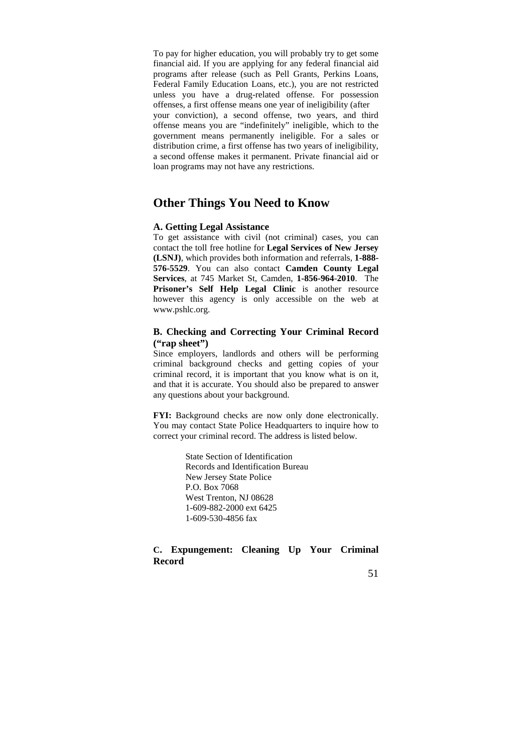To pay for higher education, you will probably try to get some financial aid. If you are applying for any federal financial aid programs after release (such as Pell Grants, Perkins Loans, Federal Family Education Loans, etc.), you are not restricted unless you have a drug-related offense. For possession offenses, a first offense means one year of ineligibility (after your conviction), a second offense, two years, and third offense means you are "indefinitely" ineligible, which to the government means permanently ineligible. For a sales or distribution crime, a first offense has two years of ineligibility, a second offense makes it permanent. Private financial aid or loan programs may not have any restrictions.

## **Other Things You Need to Know**

#### **A. Getting Legal Assistance**

To get assistance with civil (not criminal) cases, you can contact the toll free hotline for **Legal Services of New Jersey (LSNJ)**, which provides both information and referrals, **1-888- 576-5529**. You can also contact **Camden County Legal Services**, at 745 Market St, Camden, **1-856-964**-**2010**. The **Prisoner's Self Help Legal Clinic** is another resource however this agency is only accessible on the web at www.pshlc.org.

## **B. Checking and Correcting Your Criminal Record ("rap sheet")**

Since employers, landlords and others will be performing criminal background checks and getting copies of your criminal record, it is important that you know what is on it, and that it is accurate. You should also be prepared to answer any questions about your background.

**FYI:** Background checks are now only done electronically. You may contact State Police Headquarters to inquire how to correct your criminal record. The address is listed below.

> State Section of Identification Records and Identification Bureau New Jersey State Police P.O. Box 7068 West Trenton, NJ 08628 1-609-882-2000 ext 6425 1-609-530-4856 fax

## **C. Expungement: Cleaning Up Your Criminal Record**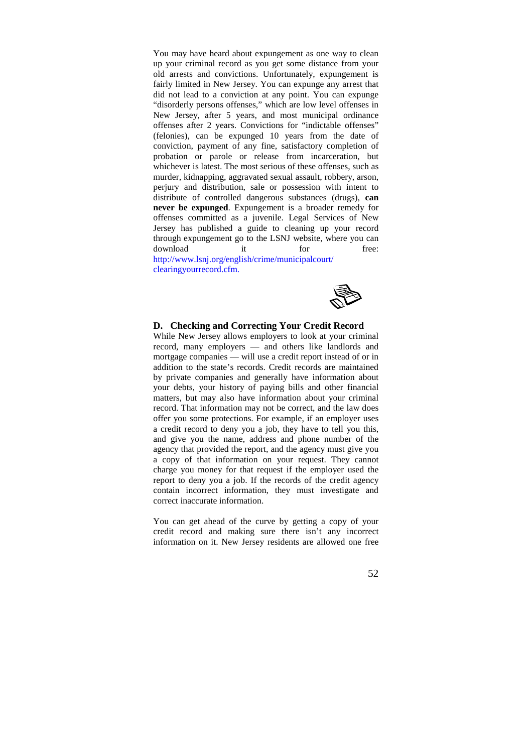You may have heard about expungement as one way to clean up your criminal record as you get some distance from your old arrests and convictions. Unfortunately, expungement is fairly limited in New Jersey. You can expunge any arrest that did not lead to a conviction at any point. You can expunge "disorderly persons offenses," which are low level offenses in New Jersey, after 5 years, and most municipal ordinance offenses after 2 years. Convictions for "indictable offenses" (felonies), can be expunged 10 years from the date of conviction, payment of any fine, satisfactory completion of probation or parole or release from incarceration, but whichever is latest. The most serious of these offenses, such as murder, kidnapping, aggravated sexual assault, robbery, arson, perjury and distribution, sale or possession with intent to distribute of controlled dangerous substances (drugs), **can never be expunged**. Expungement is a broader remedy for offenses committed as a juvenile. Legal Services of New Jersey has published a guide to cleaning up your record through expungement go to the LSNJ website, where you can download it for free:

http://www.lsnj.org/english/crime/municipalcourt/ clearingyourrecord.cfm.



#### **D. Checking and Correcting Your Credit Record**

While New Jersey allows employers to look at your criminal record, many employers — and others like landlords and mortgage companies — will use a credit report instead of or in addition to the state's records. Credit records are maintained by private companies and generally have information about your debts, your history of paying bills and other financial matters, but may also have information about your criminal record. That information may not be correct, and the law does offer you some protections. For example, if an employer uses a credit record to deny you a job, they have to tell you this, and give you the name, address and phone number of the agency that provided the report, and the agency must give you a copy of that information on your request. They cannot charge you money for that request if the employer used the report to deny you a job. If the records of the credit agency contain incorrect information, they must investigate and correct inaccurate information.

You can get ahead of the curve by getting a copy of your credit record and making sure there isn't any incorrect information on it. New Jersey residents are allowed one free

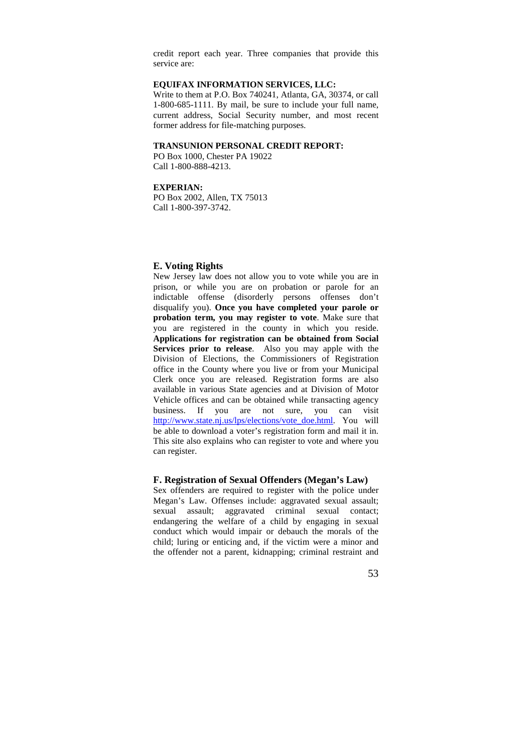credit report each year. Three companies that provide this service are:

## **EQUIFAX INFORMATION SERVICES, LLC:**

Write to them at P.O. Box 740241, Atlanta, GA, 30374, or call 1-800-685-1111. By mail, be sure to include your full name, current address, Social Security number, and most recent former address for file-matching purposes.

#### **TRANSUNION PERSONAL CREDIT REPORT:**

PO Box 1000, Chester PA 19022 Call 1-800-888-4213.

#### **EXPERIAN:**

PO Box 2002, Allen, TX 75013 Call 1-800-397-3742.

#### **E. Voting Rights**

New Jersey law does not allow you to vote while you are in prison, or while you are on probation or parole for an indictable offense (disorderly persons offenses don't disqualify you). **Once you have completed your parole or probation term, you may register to vote**. Make sure that you are registered in the county in which you reside. **Applications for registration can be obtained from Social Services prior to release**. Also you may apple with the Division of Elections, the Commissioners of Registration office in the County where you live or from your Municipal Clerk once you are released. Registration forms are also available in various State agencies and at Division of Motor Vehicle offices and can be obtained while transacting agency business. If you are not sure, you can visit http://www.state.nj.us/lps/elections/vote\_doe.html. You will be able to download a voter's registration form and mail it in. This site also explains who can register to vote and where you can register.

#### **F. Registration of Sexual Offenders (Megan's Law)**

Sex offenders are required to register with the police under Megan's Law. Offenses include: aggravated sexual assault; sexual assault; aggravated criminal sexual contact; endangering the welfare of a child by engaging in sexual conduct which would impair or debauch the morals of the child; luring or enticing and, if the victim were a minor and the offender not a parent, kidnapping; criminal restraint and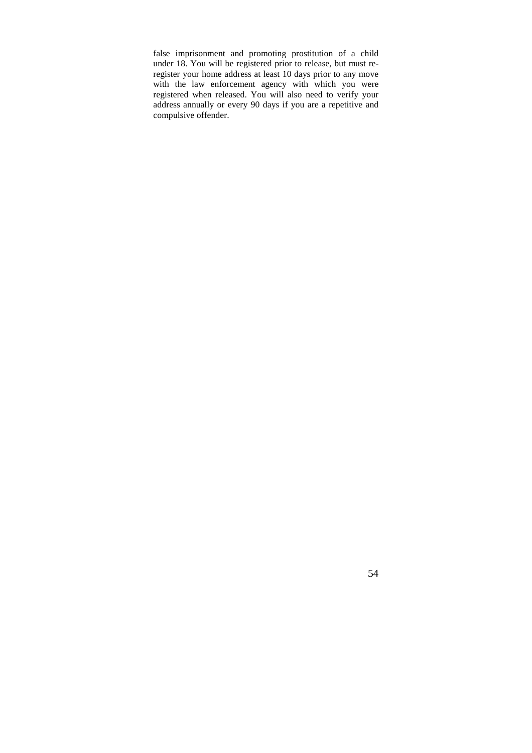false imprisonment and promoting prostitution of a child under 18. You will be registered prior to release, but must reregister your home address at least 10 days prior to any move with the law enforcement agency with which you were registered when released. You will also need to verify your address annually or every 90 days if you are a repetitive and compulsive offender.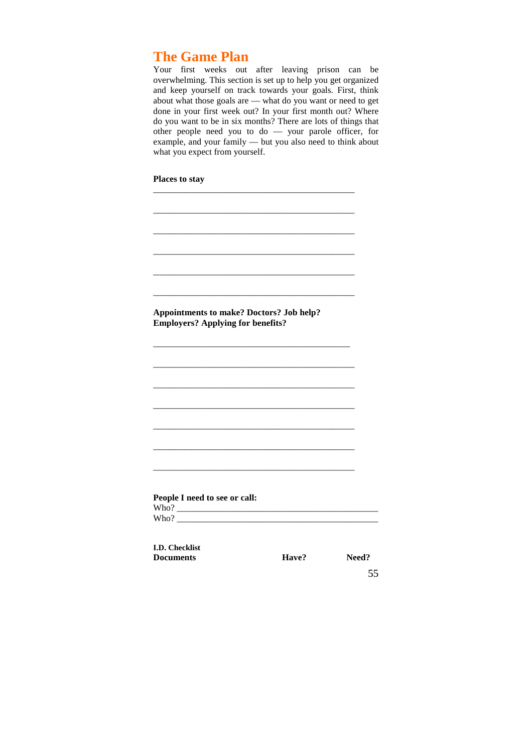## **The Game Plan**

Your first weeks out after leaving prison can be overwhelming. This section is set up to help you get organized and keep yourself on track towards your goals. First, think about what those goals are — what do you want or need to get done in your first week out? In your first month out? Where do you want to be in six months? There are lots of things that other people need you to do — your parole officer, for example, and your family — but you also need to think about what you expect from yourself.

| <b>Appointments to make? Doctors? Job help?</b><br><b>Employers? Applying for benefits?</b> |       |       |
|---------------------------------------------------------------------------------------------|-------|-------|
|                                                                                             |       |       |
|                                                                                             |       |       |
|                                                                                             |       |       |
|                                                                                             |       |       |
|                                                                                             |       |       |
|                                                                                             |       |       |
|                                                                                             |       |       |
|                                                                                             |       |       |
| People I need to see or call:                                                               |       |       |
| Who?                                                                                        |       |       |
| <b>I.D. Checklist</b>                                                                       |       |       |
| <b>Documents</b>                                                                            | Have? | Need? |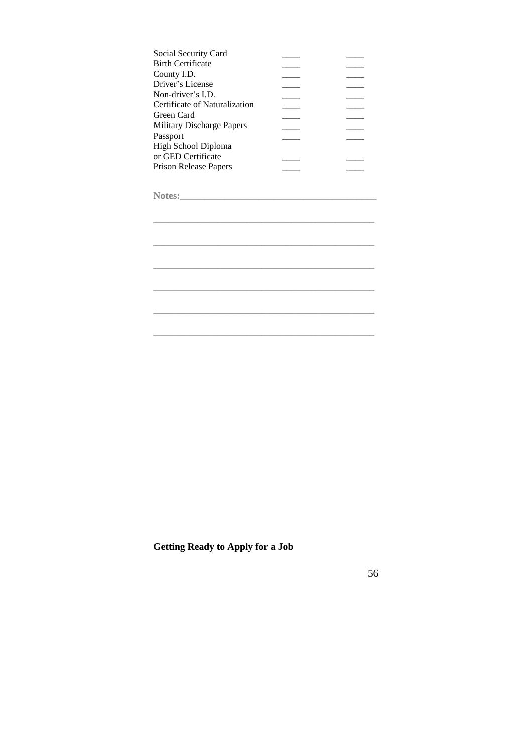| Social Security Card             |  |
|----------------------------------|--|
| Birth Certificate                |  |
| County I.D.                      |  |
| Driver's License                 |  |
| Non-driver's I.D.                |  |
| Certificate of Naturalization    |  |
| Green Card                       |  |
| <b>Military Discharge Papers</b> |  |
| Passport                         |  |
| High School Diploma              |  |
| or GED Certificate               |  |
| Prison Release Papers            |  |
|                                  |  |

**\_\_\_\_\_\_\_\_\_\_\_\_\_\_\_\_\_\_\_\_\_\_\_\_\_\_\_\_\_\_\_\_\_\_\_\_\_\_\_\_\_\_\_\_\_** 

**\_\_\_\_\_\_\_\_\_\_\_\_\_\_\_\_\_\_\_\_\_\_\_\_\_\_\_\_\_\_\_\_\_\_\_\_\_\_\_\_\_\_\_\_\_** 

**\_\_\_\_\_\_\_\_\_\_\_\_\_\_\_\_\_\_\_\_\_\_\_\_\_\_\_\_\_\_\_\_\_\_\_\_\_\_\_\_\_\_\_\_\_** 

**\_\_\_\_\_\_\_\_\_\_\_\_\_\_\_\_\_\_\_\_\_\_\_\_\_\_\_\_\_\_\_\_\_\_\_\_\_\_\_\_\_\_\_\_\_** 

**\_\_\_\_\_\_\_\_\_\_\_\_\_\_\_\_\_\_\_\_\_\_\_\_\_\_\_\_\_\_\_\_\_\_\_\_\_\_\_\_\_\_\_\_\_** 

**\_\_\_\_\_\_\_\_\_\_\_\_\_\_\_\_\_\_\_\_\_\_\_\_\_\_\_\_\_\_\_\_\_\_\_\_\_\_\_\_\_\_\_\_\_** 

**Notes:\_\_\_\_\_\_\_\_\_\_\_\_\_\_\_\_\_\_\_\_\_\_\_\_\_\_\_\_\_\_\_\_\_\_\_\_\_\_\_\_** 

**Getting Ready to Apply for a Job**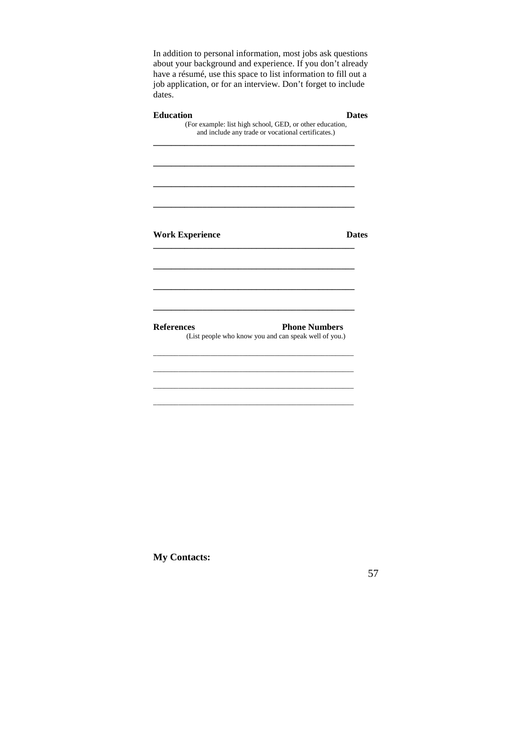In addition to personal information, most jobs ask questions about your background and experience. If you don't already have a résumé, use this space to list information to fill out a job application, or for an interview. Don't forget to include dates.

|                                             | and include any trade or vocational certificates.) |                                                                               |
|---------------------------------------------|----------------------------------------------------|-------------------------------------------------------------------------------|
|                                             |                                                    |                                                                               |
|                                             |                                                    |                                                                               |
|                                             |                                                    | <b>Dates</b>                                                                  |
|                                             |                                                    |                                                                               |
|                                             |                                                    |                                                                               |
| <b>Work Experience</b><br><b>References</b> |                                                    | <b>Phone Numbers</b><br>(List people who know you and can speak well of you.) |

**My Contacts:**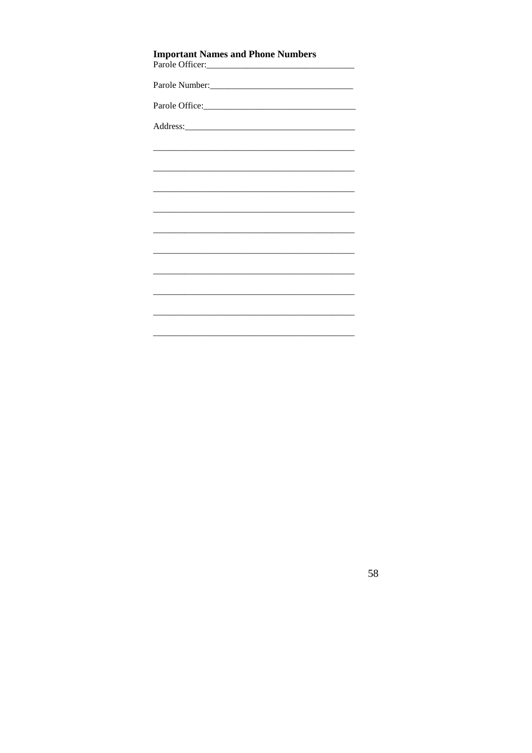| <b>Important Names and Phone Numbers</b> |  |  |  |
|------------------------------------------|--|--|--|
|                                          |  |  |  |
|                                          |  |  |  |
|                                          |  |  |  |
|                                          |  |  |  |
|                                          |  |  |  |
|                                          |  |  |  |
|                                          |  |  |  |
|                                          |  |  |  |
|                                          |  |  |  |
|                                          |  |  |  |
|                                          |  |  |  |
|                                          |  |  |  |
|                                          |  |  |  |
|                                          |  |  |  |